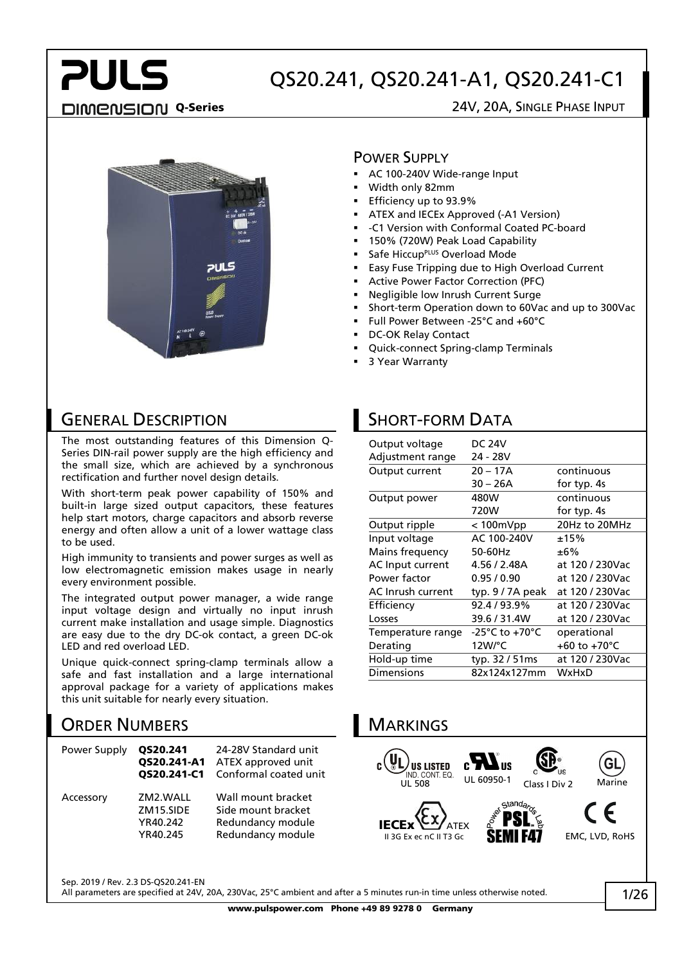## **PULS** DIMENSION Q-Series 24V, 20A, SINGLE PHASE INPUT

## QS20.241, QS20.241-A1, QS20.241-C1



#### POWER SUPPLY

- AC 100-240V Wide-range Input
- Width only 82mm
- Efficiency up to 93.9%
- ATEX and IECEx Approved (-A1 Version)
- -C1 Version with Conformal Coated PC-board
- 150% (720W) Peak Load Capability
- Safe Hiccup<sup>PLUS</sup> Overload Mode
- Easy Fuse Tripping due to High Overload Current
- Active Power Factor Correction (PFC)
- Negligible low Inrush Current Surge
- Short-term Operation down to 60Vac and up to 300Vac
- Full Power Between -25°C and +60°C
- DC-OK Relay Contact
- Quick-connect Spring-clamp Terminals
- 3 Year Warranty

#### GENERAL DESCRIPTION

The most outstanding features of this Dimension Q-Series DIN-rail power supply are the high efficiency and the small size, which are achieved by a synchronous rectification and further novel design details.

With short-term peak power capability of 150% and built-in large sized output capacitors, these features help start motors, charge capacitors and absorb reverse energy and often allow a unit of a lower wattage class to be used.

High immunity to transients and power surges as well as low electromagnetic emission makes usage in nearly every environment possible.

The integrated output power manager, a wide range input voltage design and virtually no input inrush current make installation and usage simple. Diagnostics are easy due to the dry DC-ok contact, a green DC-ok LED and red overload LED.

Unique quick-connect spring-clamp terminals allow a safe and fast installation and a large international approval package for a variety of applications makes this unit suitable for nearly every situation.

### ORDER NUMBERS

| Power Supply | QS20.241<br>QS20.241-A1<br>OS20.241-C1        | 24-28V Standard unit<br>ATEX approved unit<br>Conformal coated unit                |
|--------------|-----------------------------------------------|------------------------------------------------------------------------------------|
| Accessory    | ZM2.WALL<br>ZM15.SIDE<br>YR40.242<br>YR40.245 | Wall mount bracket<br>Side mount bracket<br>Redundancy module<br>Redundancy module |

## SHORT-FORM DATA

| Output voltage    | <b>DC 24V</b>   |                 |
|-------------------|-----------------|-----------------|
| Adjustment range  | 24 - 28V        |                 |
| Output current    | $20 - 17A$      | continuous      |
|                   | $30 - 26A$      | for typ. 4s     |
| Output power      | 480W            | continuous      |
|                   | 720W            | for typ. 4s     |
| Output ripple     | < 100mVpp       | 20Hz to 20MHz   |
| Input voltage     | AC 100-240V     | ±15%            |
| Mains frequency   | 50-60Hz         | ±6%             |
| AC Input current  | 4.56 / 2.48A    | at 120 / 230Vac |
| Power factor      | 0.95/0.90       | at 120 / 230Vac |
| AC Inrush current | typ. 9/7A peak  | at 120 / 230Vac |
| Efficiency        | 92.4/93.9%      | at 120 / 230Vac |
| Losses            | 39.6 / 31.4W    | at 120 / 230Vac |
| Temperature range | -25°C to +70°C  | operational     |
| Derating          | 12W/°C          | +60 to +70°C    |
| Hold-up time      | typ. 32 / 51 ms | at 120 / 230Vac |
| <b>Dimensions</b> | 82x124x127mm    | WxHxD           |



Sep. 2019 / Rev. 2.3 DS-QS20.241-EN

All parameters are specified at 24V, 20A, 230Vac, 25°C ambient and after a 5 minutes run-in time unless otherwise noted.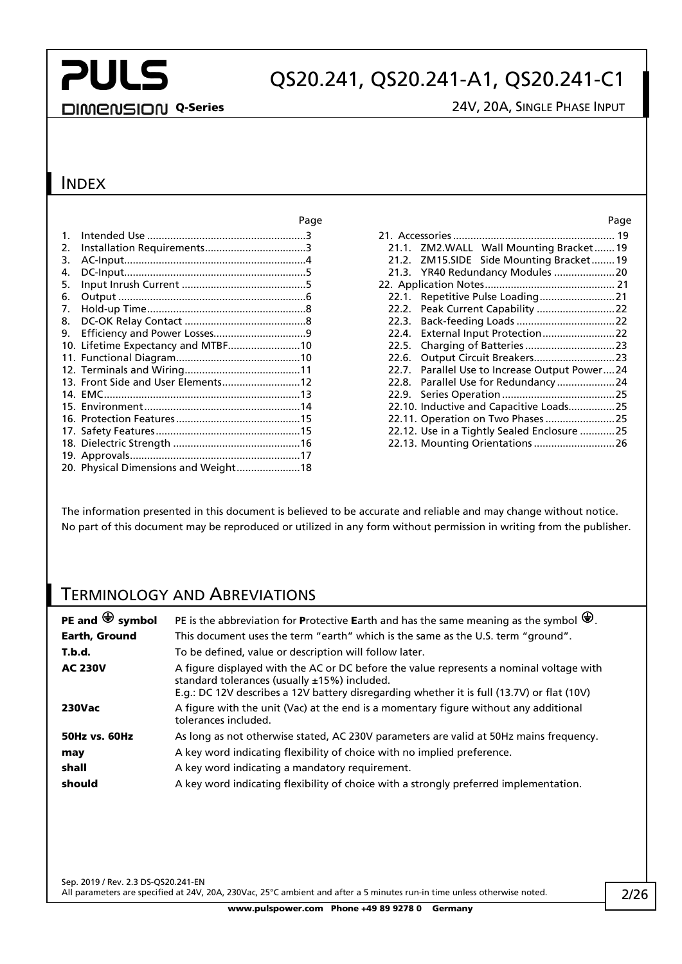## QS20.241, QS20.241-A1, QS20.241-C1

#### DIMENSION Q-Series 24V, 20A, SINGLE PHASE INPUT

#### **INDEX**

| $\mathbf{1}$ .        |                                      |  |
|-----------------------|--------------------------------------|--|
| $\mathcal{P}_{\cdot}$ |                                      |  |
| 3.                    |                                      |  |
| 4.                    |                                      |  |
| 5.                    |                                      |  |
| 6.                    |                                      |  |
| 7.                    |                                      |  |
| 8.                    |                                      |  |
| 9.                    |                                      |  |
|                       | 10. Lifetime Expectancy and MTBF10   |  |
|                       |                                      |  |
|                       |                                      |  |
|                       | 13. Front Side and User Elements12   |  |
|                       |                                      |  |
|                       |                                      |  |
|                       |                                      |  |
|                       |                                      |  |
|                       |                                      |  |
|                       |                                      |  |
|                       | 20. Physical Dimensions and Weight18 |  |

| Page           |                                               | Page |
|----------------|-----------------------------------------------|------|
| . 3            |                                               |      |
| . 3            | 21.1. ZM2.WALL Wall Mounting Bracket19        |      |
| $\mathbf{0}$ . | 21.2. ZM15.SIDE Side Mounting Bracket19       |      |
| . 5            |                                               |      |
| . 5            |                                               |      |
| 6              |                                               |      |
| . . 8          |                                               |      |
| . . 8          |                                               |      |
| . . 9          |                                               |      |
| .10            |                                               |      |
| .10            |                                               |      |
| .11            | 22.7. Parallel Use to Increase Output Power24 |      |
| .12            | 22.8. Parallel Use for Redundancy 24          |      |
| .13            |                                               |      |
| .14            | 22.10. Inductive and Capacitive Loads25       |      |
| .15            |                                               |      |
| .15            | 22.12. Use in a Tightly Sealed Enclosure 25   |      |
| .16            | 22.13. Mounting Orientations  26              |      |

The information presented in this document is believed to be accurate and reliable and may change without notice. No part of this document may be reproduced or utilized in any form without permission in writing from the publisher.

### TERMINOLOGY AND ABREVIATIONS

| PE and $\bigoplus$ symbol | PE is the abbreviation for Protective Earth and has the same meaning as the symbol $\bigoplus$ .                                                                                                                                         |
|---------------------------|------------------------------------------------------------------------------------------------------------------------------------------------------------------------------------------------------------------------------------------|
| <b>Earth, Ground</b>      | This document uses the term "earth" which is the same as the U.S. term "ground".                                                                                                                                                         |
| T.b.d.                    | To be defined, value or description will follow later.                                                                                                                                                                                   |
| <b>AC 230V</b>            | A figure displayed with the AC or DC before the value represents a nominal voltage with<br>standard tolerances (usually $±15%$ ) included.<br>E.g.: DC 12V describes a 12V battery disregarding whether it is full (13.7V) or flat (10V) |
| <b>230Vac</b>             | A figure with the unit (Vac) at the end is a momentary figure without any additional<br>tolerances included.                                                                                                                             |
| <b>50Hz vs. 60Hz</b>      | As long as not otherwise stated, AC 230V parameters are valid at 50Hz mains frequency.                                                                                                                                                   |
| may                       | A key word indicating flexibility of choice with no implied preference.                                                                                                                                                                  |
| shall                     | A key word indicating a mandatory requirement.                                                                                                                                                                                           |
| should                    | A key word indicating flexibility of choice with a strongly preferred implementation.                                                                                                                                                    |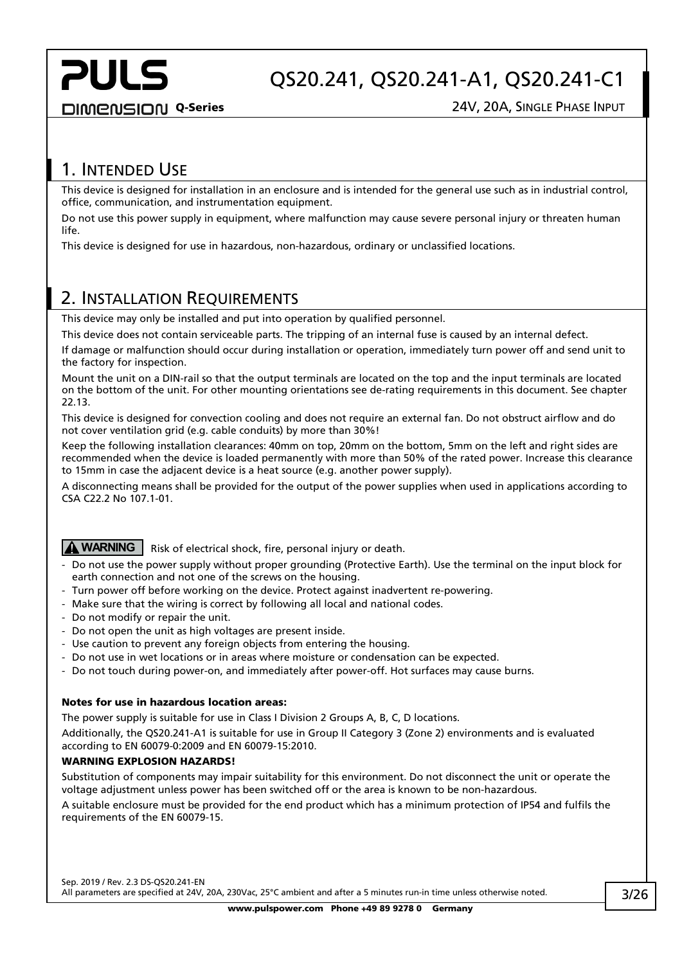## QS20.241, QS20.241-A1, QS20.241-C1

**DIMENSION Q-Series 24V, 20A, SINGLE PHASE INPUT** 

### <span id="page-2-0"></span>1. INTENDED USE

This device is designed for installation in an enclosure and is intended for the general use such as in industrial control, office, communication, and instrumentation equipment.

Do not use this power supply in equipment, where malfunction may cause severe personal injury or threaten human life.

This device is designed for use in hazardous, non-hazardous, ordinary or unclassified locations.

### <span id="page-2-1"></span>2. INSTALLATION REQUIREMENTS

This device may only be installed and put into operation by qualified personnel.

This device does not contain serviceable parts. The tripping of an internal fuse is caused by an internal defect.

If damage or malfunction should occur during installation or operation, immediately turn power off and send unit to the factory for inspection.

Mount the unit on a DIN-rail so that the output terminals are located on the top and the input terminals are located on the bottom of the unit. For other mounting orientations see de-rating requirements in this document. See chapter [22.13.](#page-25-0)

This device is designed for convection cooling and does not require an external fan. Do not obstruct airflow and do not cover ventilation grid (e.g. cable conduits) by more than 30%!

Keep the following installation clearances: 40mm on top, 20mm on the bottom, 5mm on the left and right sides are recommended when the device is loaded permanently with more than 50% of the rated power. Increase this clearance to 15mm in case the adjacent device is a heat source (e.g. another power supply).

A disconnecting means shall be provided for the output of the power supplies when used in applications according to CSA C22.2 No 107.1-01.

### **WARNING** Risk of electrical shock, fire, personal injury or death.

- Do not use the power supply without proper grounding (Protective Earth). Use the terminal on the input block for earth connection and not one of the screws on the housing.
- Turn power off before working on the device. Protect against inadvertent re-powering.
- Make sure that the wiring is correct by following all local and national codes.
- Do not modify or repair the unit.
- Do not open the unit as high voltages are present inside.
- Use caution to prevent any foreign objects from entering the housing.
- Do not use in wet locations or in areas where moisture or condensation can be expected.
- Do not touch during power-on, and immediately after power-off. Hot surfaces may cause burns.

#### Notes for use in hazardous location areas:

The power supply is suitable for use in Class I Division 2 Groups A, B, C, D locations.

Additionally, the QS20.241-A1 is suitable for use in Group II Category 3 (Zone 2) environments and is evaluated according to EN 60079-0:2009 and EN 60079-15:2010.

#### WARNING EXPLOSION HAZARDS!

Substitution of components may impair suitability for this environment. Do not disconnect the unit or operate the voltage adjustment unless power has been switched off or the area is known to be non-hazardous.

A suitable enclosure must be provided for the end product which has a minimum protection of IP54 and fulfils the requirements of the EN 60079-15.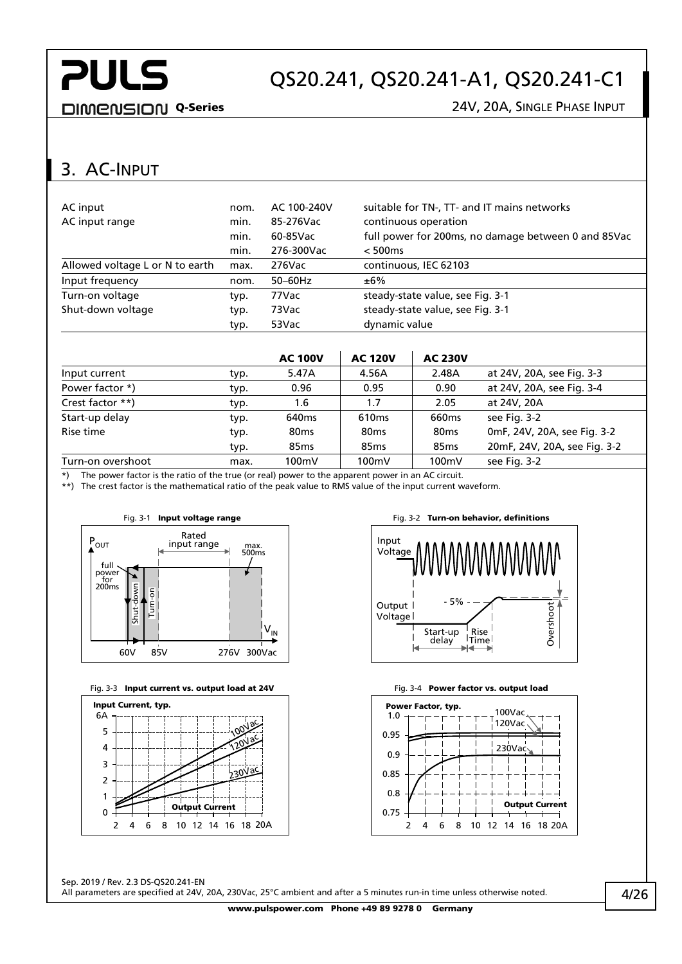## QS20.241, QS20.241-A1, QS20.241-C1

DIMENSION Q-Series 24V, 20A, SINGLE PHASE INPUT

### <span id="page-3-0"></span>3. AC-INPUT

| AC input<br>AC input range      | nom.<br>min. | AC 100-240V<br>85-276Vac | suitable for TN-, TT- and IT mains networks<br>continuous operation |
|---------------------------------|--------------|--------------------------|---------------------------------------------------------------------|
|                                 | min.<br>min. | 60-85Vac<br>276-300Vac   | full power for 200ms, no damage between 0 and 85Vac<br>< 500ms      |
| Allowed voltage L or N to earth | max.         | $276$ Vac                | continuous, IEC 62103                                               |
| Input frequency                 | nom.         | $50-60$ Hz               | ±6%                                                                 |
| Turn-on voltage                 | typ.         | 77Vac                    | steady-state value, see Fig. 3-1                                    |
| Shut-down voltage               | typ.         | 73Vac                    | steady-state value, see Fig. 3-1                                    |
|                                 | typ.         | 53Vac                    | dynamic value                                                       |

|                   |      | <b>AC 100V</b>    | <b>AC 120V</b>    | <b>AC 230V</b>    |                              |
|-------------------|------|-------------------|-------------------|-------------------|------------------------------|
| Input current     | typ. | 5.47A             | 4.56A             | 2.48A             | at 24V, 20A, see Fig. 3-3    |
| Power factor *)   | typ. | 0.96              | 0.95              | 0.90              | at 24V, 20A, see Fig. 3-4    |
| Crest factor **)  | typ. | 1.6               | 1.7               | 2.05              | at 24V, 20A                  |
| Start-up delay    | typ. | 640 <sub>ms</sub> | 610 <sub>ms</sub> | 660 <sub>ms</sub> | see Fig. 3-2                 |
| Rise time         | typ. | 80 <sub>ms</sub>  | 80 <sub>ms</sub>  | 80 <sub>ms</sub>  | 0mF, 24V, 20A, see Fig. 3-2  |
|                   | typ. | 85 <sub>ms</sub>  | 85 <sub>ms</sub>  | 85 <sub>ms</sub>  | 20mF, 24V, 20A, see Fig. 3-2 |
| Turn-on overshoot | max. | 100mV             | 100mV             | 100mV             | see Fig. 3-2                 |

\*) The power factor is the ratio of the true (or real) power to the apparent power in an AC circuit.

\*\*) The crest factor is the mathematical ratio of the peak value to RMS value of the input current waveform.

<span id="page-3-1"></span>

<span id="page-3-2"></span>





<span id="page-3-4"></span>

<span id="page-3-3"></span>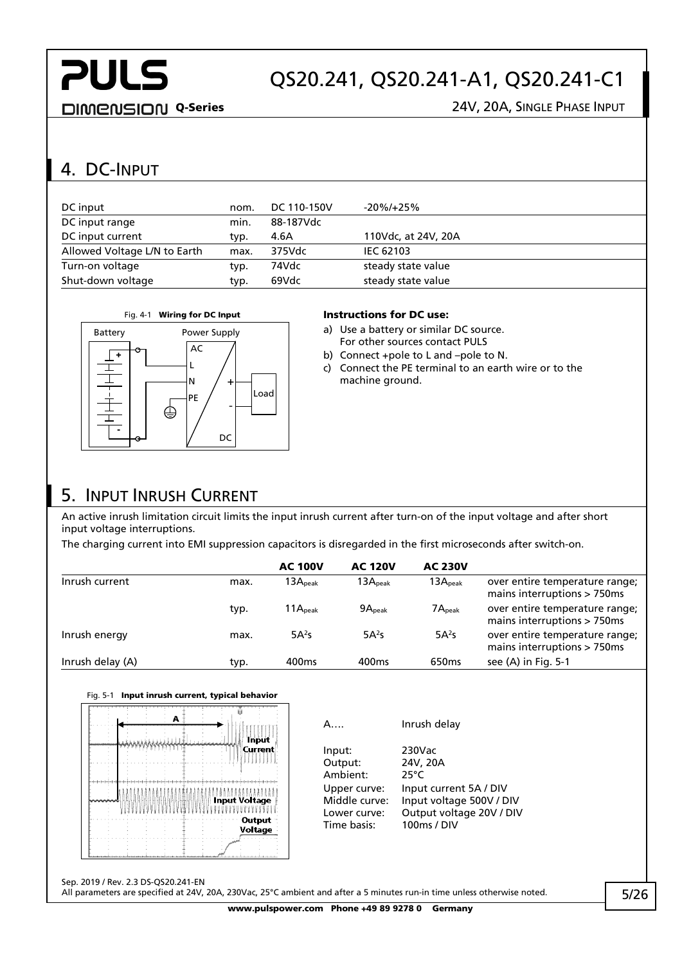## QS20.241, QS20.241-A1, QS20.241-C1

DIMENSION Q-Series 24V, 20A, SINGLE PHASE INPUT

## <span id="page-4-0"></span>4. DC-INPUT

+

-

| DC input                     | nom. | DC 110-150V | -20%/+25%           |
|------------------------------|------|-------------|---------------------|
| DC input range               | min. | 88-187Vdc   |                     |
| DC input current             | typ. | 4.6A        | 110Vdc, at 24V, 20A |
| Allowed Voltage L/N to Earth | max. | 375Vdc      | <b>IEC 62103</b>    |
| Turn-on voltage              | typ. | 74Vdc       | steady state value  |
| Shut-down voltage            | typ. | 69Vdc       | steady state value  |



 $\mathbf{L}$ 

N

AC

PE

⊜

#### Fig. 4-1 Wiring for DC Input Instructions for DC use:

- a) Use a battery or similar DC source. For other sources contact PULS
- b) Connect +pole to L and –pole to N.
- c) Connect the PE terminal to an earth wire or to the machine ground.

## <span id="page-4-1"></span>5. INPUT INRUSH CURRENT

An active inrush limitation circuit limits the input inrush current after turn-on of the input voltage and after short input voltage interruptions.

The charging current into EMI suppression capacitors is disregarded in the first microseconds after switch-on.

Load

+

-

DC

|                  |      | <b>AC 100V</b>      | <b>AC 120V</b>     | <b>AC 230V</b>      |                                                                  |
|------------------|------|---------------------|--------------------|---------------------|------------------------------------------------------------------|
| Inrush current   | max. | 13A <sub>peak</sub> | $13A_{\rm peak}$   | 13A <sub>peak</sub> | over entire temperature range;<br>mains interruptions $> 750$ ms |
|                  | typ. | 11A <sub>peak</sub> | 9A <sub>peak</sub> | 7A <sub>peak</sub>  | over entire temperature range;<br>mains interruptions > 750ms    |
| Inrush energy    | max. | 5A <sup>2</sup> S   | 5A <sup>2</sup> S  | $5A^2s$             | over entire temperature range;<br>mains interruptions > 750ms    |
| Inrush delay (A) | typ. | 400 <sub>ms</sub>   | 400 <sub>ms</sub>  | 650 <sub>ms</sub>   | see (A) in Fig. 5-1                                              |

#### <span id="page-4-2"></span>Fig. 5-1 Input inrush current, typical behavior



| Δ                                                                                             | Inrush delay                                                                                                                |
|-----------------------------------------------------------------------------------------------|-----------------------------------------------------------------------------------------------------------------------------|
| Input:<br>Output:<br>Ambient:<br>Upper curve:<br>Middle curve:<br>Lower curve:<br>Time basis: | 230Vac<br>24V, 20A<br>25°C<br>Input current 5A / DIV<br>Input voltage 500V / DIV<br>Output voltage 20V / DIV<br>100ms / DIV |
|                                                                                               |                                                                                                                             |

Sep. 2019 / Rev. 2.3 DS-QS20.241-EN

All parameters are specified at 24V, 20A, 230Vac, 25°C ambient and after a 5 minutes run-in time unless otherwise noted.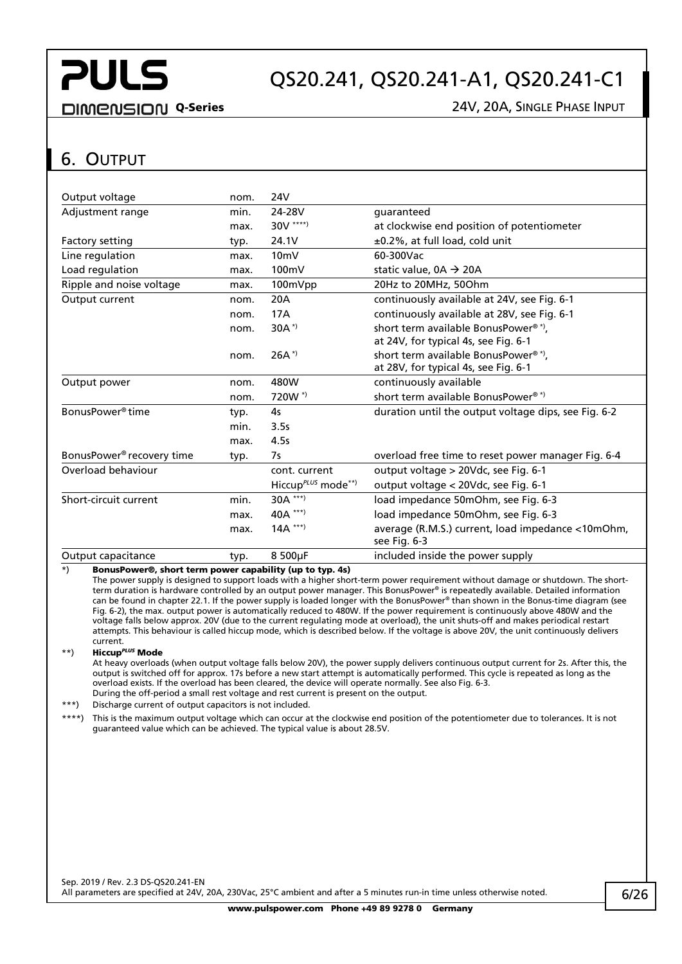## QS20.241, QS20.241-A1, QS20.241-C1

#### DIMENSION Q-Series 24V, 20A, SINGLE PHASE INPUT

#### <span id="page-5-0"></span>6. OUTPUT

| Output voltage                        | nom. | 24V                                |                                                                   |
|---------------------------------------|------|------------------------------------|-------------------------------------------------------------------|
| Adjustment range                      | min. | 24-28V                             | quaranteed                                                        |
|                                       | max. | 30V ****)                          | at clockwise end position of potentiometer                        |
| Factory setting                       | typ. | 24.1V                              | ±0.2%, at full load, cold unit                                    |
| Line regulation                       | max. | 10 <sub>m</sub>                    | 60-300Vac                                                         |
| Load regulation                       | max. | 100mV                              | static value, $0A \rightarrow 20A$                                |
| Ripple and noise voltage              | max. | 100mVpp                            | 20Hz to 20MHz, 50Ohm                                              |
| Output current                        | nom. | 20A                                | continuously available at 24V, see Fig. 6-1                       |
|                                       | nom. | 17A                                | continuously available at 28V, see Fig. 6-1                       |
|                                       | nom. | $30A^{*}$                          | short term available BonusPower®*),                               |
|                                       |      |                                    | at 24V, for typical 4s, see Fig. 6-1                              |
|                                       | nom. | $26A^*$                            | short term available BonusPower <sup>®*</sup> ),                  |
|                                       |      |                                    | at 28V, for typical 4s, see Fig. 6-1                              |
| Output power                          | nom. | 480W                               | continuously available                                            |
|                                       | nom. | 720W <sup>*</sup>                  | short term available BonusPower®*)                                |
| BonusPower <sup>®</sup> time          | typ. | 4 <sub>5</sub>                     | duration until the output voltage dips, see Fig. 6-2              |
|                                       | min. | 3.5s                               |                                                                   |
|                                       | max. | 4.5s                               |                                                                   |
| BonusPower <sup>®</sup> recovery time | typ. | 7s                                 | overload free time to reset power manager Fig. 6-4                |
| Overload behaviour                    |      | cont. current                      | output voltage > 20Vdc, see Fig. 6-1                              |
|                                       |      | Hiccup $P^LUS$ mode <sup>**)</sup> | output voltage < 20Vdc, see Fig. 6-1                              |
| Short-circuit current                 | min. | 30A ***)                           | load impedance 50mOhm, see Fig. 6-3                               |
|                                       | max. | 40A ***)                           | load impedance 50mOhm, see Fig. 6-3                               |
|                                       | max. | $14A$ ***)                         | average (R.M.S.) current, load impedance <10mOhm,<br>see Fig. 6-3 |
| Output capacitance                    | typ. | 8 500µF                            | included inside the power supply                                  |

 $\overline{\hspace{1cm}}^*$  BonusPower®, short term power capability (up to typ. 4s)

The power supply is designed to support loads with a higher short-term power requirement without damage or shutdown. The shortterm duration is hardware controlled by an output power manager. This BonusPower® is repeatedly available. Detailed information can be found in chapte[r 22.1.](#page-20-1) If the power supply is loaded longer with the BonusPower® than shown in the Bonus-time diagram (see [Fig. 6-2\),](#page-6-1) the max. output power is automatically reduced to 480W. If the power requirement is continuously above 480W and the voltage falls below approx. 20V (due to the current regulating mode at overload), the unit shuts-off and makes periodical restart attempts. This behaviour is called hiccup mode, which is described below. If the voltage is above 20V, the unit continuously delivers current.

#### \*\*) Hiccup*PLUS* Mode

At heavy overloads (when output voltage falls below 20V), the power supply delivers continuous output current for 2s. After this, the output is switched off for approx. 17s before a new start attempt is automatically performed. This cycle is repeated as long as the overload exists. If the overload has been cleared, the device will operate normally. See also [Fig. 6-3.](#page-6-3) During the off-period a small rest voltage and rest current is present on the output.

\*\*\*) Discharge current of output capacitors is not included.

\*\*) This is the maximum output voltage which can occur at the clockwise end position of the potentiometer due to tolerances. It is not guaranteed value which can be achieved. The typical value is about 28.5V.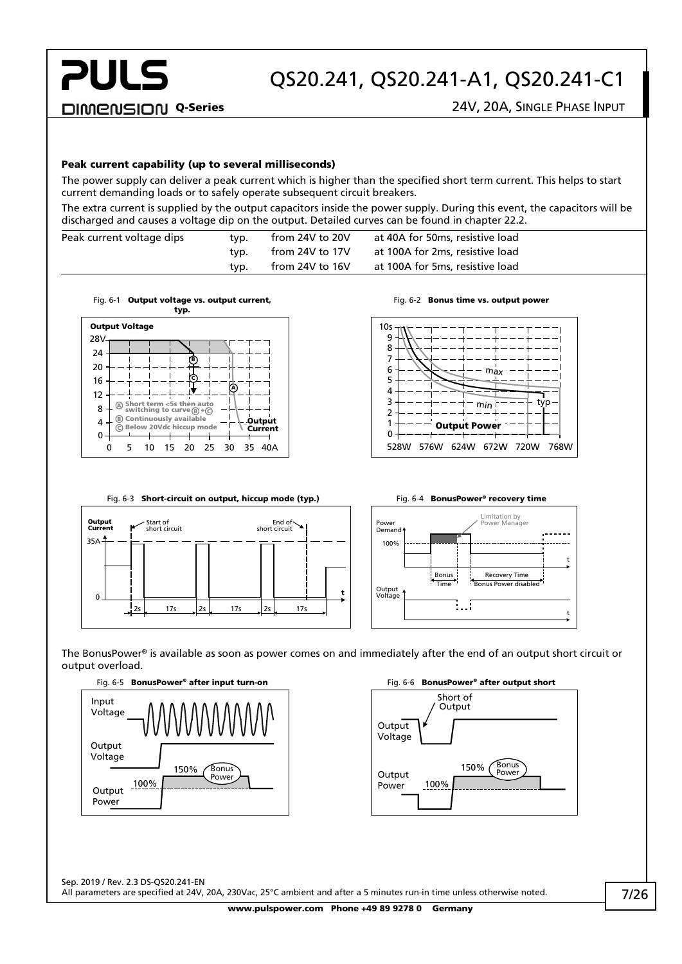## QS20.241, QS20.241-A1, QS20.241-C1

#### Peak current capability (up to several milliseconds)

The power supply can deliver a peak current which is higher than the specified short term current. This helps to start current demanding loads or to safely operate subsequent circuit breakers.

The extra current is supplied by the output capacitors inside the power supply. During this event, the capacitors will be discharged and causes a voltage dip on the output. Detailed curves can be found in chapter [22.2.](#page-21-0)

| Peak current voltage dips | typ. | from 24V to 20V | at 40A for 50ms, resistive load |
|---------------------------|------|-----------------|---------------------------------|
|                           | typ. | from 24V to 17V | at 100A for 2ms, resistive load |
|                           | typ. | from 24V to 16V | at 100A for 5ms, resistive load |

<span id="page-6-0"></span>



Fig. 6-2 Bonus time vs. output power

<span id="page-6-1"></span>

<span id="page-6-3"></span>

<span id="page-6-2"></span>

The BonusPower® is available as soon as power comes on and immediately after the end of an output short circuit or output overload.



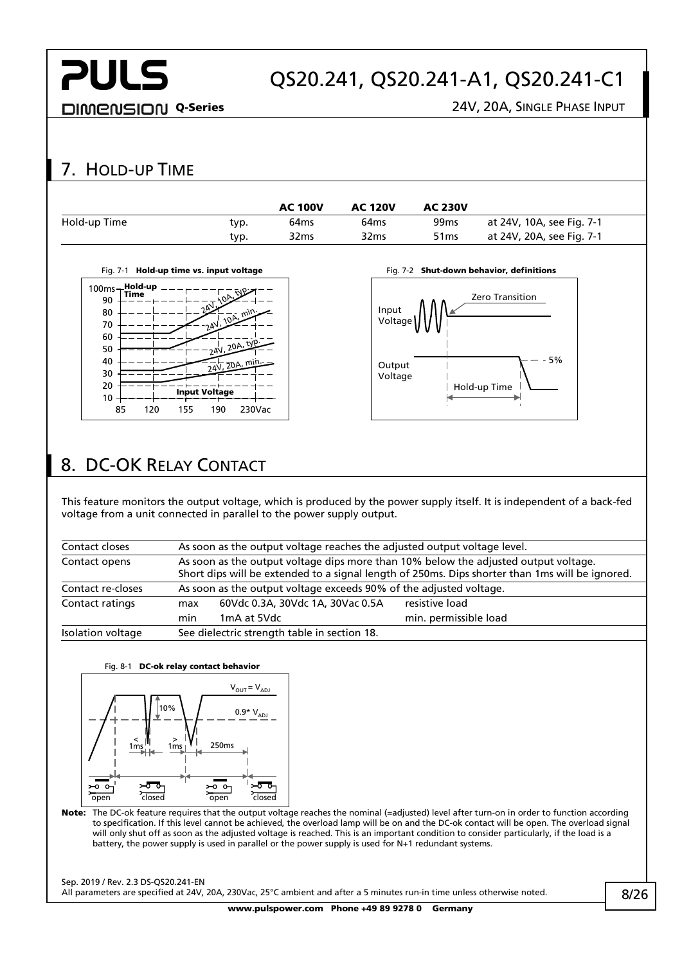## QS20.241, QS20.241-A1, QS20.241-C1

DIMENSION Q-Series 24V, 20A, SINGLE PHASE INPUT

## <span id="page-7-0"></span>7. HOLD-UP TIME

|      | <b>AC 100V</b>   | <b>AC 120V</b>   | <b>AC 230V</b>   |                           |
|------|------------------|------------------|------------------|---------------------------|
| typ. | 64 <sub>ms</sub> | 64 <sub>ms</sub> | 99 <sub>ms</sub> | at 24V, 10A, see Fig. 7-1 |
| typ. | 32 <sub>ms</sub> | 32 <sub>ms</sub> | 51 <sub>ms</sub> | at 24V, 20A, see Fig. 7-1 |
|      |                  |                  |                  |                           |

<span id="page-7-2"></span>



## <span id="page-7-1"></span>8. DC-OK RELAY CONTACT

This feature monitors the output voltage, which is produced by the power supply itself. It is independent of a back-fed voltage from a unit connected in parallel to the power supply output.

| Contact closes    | As soon as the output voltage reaches the adjusted output voltage level.                                                                                                               |                                                                    |                       |  |
|-------------------|----------------------------------------------------------------------------------------------------------------------------------------------------------------------------------------|--------------------------------------------------------------------|-----------------------|--|
| Contact opens     | As soon as the output voltage dips more than 10% below the adjusted output voltage.<br>Short dips will be extended to a signal length of 250ms. Dips shorter than 1ms will be ignored. |                                                                    |                       |  |
| Contact re-closes |                                                                                                                                                                                        | As soon as the output voltage exceeds 90% of the adjusted voltage. |                       |  |
| Contact ratings   | max                                                                                                                                                                                    | 60Vdc 0.3A, 30Vdc 1A, 30Vac 0.5A                                   | resistive load        |  |
|                   | min                                                                                                                                                                                    | 1mA at 5Vdc                                                        | min. permissible load |  |
| Isolation voltage | See dielectric strength table in section 18.                                                                                                                                           |                                                                    |                       |  |



Note: The DC-ok feature requires that the output voltage reaches the nominal (=adjusted) level after turn-on in order to function according to specification. If this level cannot be achieved, the overload lamp will be on and the DC-ok contact will be open. The overload signal will only shut off as soon as the adjusted voltage is reached. This is an important condition to consider particularly, if the load is a battery, the power supply is used in parallel or the power supply is used for N+1 redundant systems.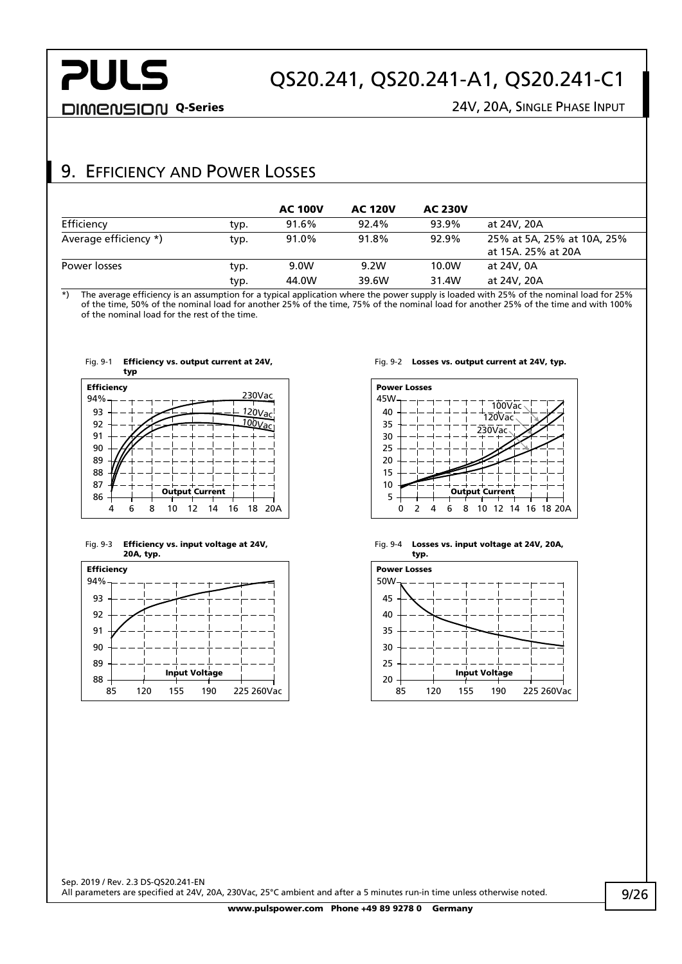DIMENSION Q-Series 24V, 20A, SINGLE PHASE INPUT

### <span id="page-8-0"></span>9. EFFICIENCY AND POWER LOSSES

|                       |      | <b>AC 100V</b> | <b>AC 120V</b> | <b>AC 230V</b> |                                                  |
|-----------------------|------|----------------|----------------|----------------|--------------------------------------------------|
| Efficiency            | typ. | 91.6%          | 92.4%          | 93.9%          | at 24V, 20A                                      |
| Average efficiency *) | typ. | 91.0%          | 91.8%          | 92.9%          | 25% at 5A, 25% at 10A, 25%<br>at 15A. 25% at 20A |
| Power losses          | typ. | 9.0W           | 9.2W           | 10.0W          | at 24V, 0A                                       |
|                       | typ. | 44.0W          | 39.6W          | 31.4W          | at 24V, 20A                                      |

\*) The average efficiency is an assumption for a typical application where the power supply is loaded with 25% of the nominal load for 25% of the time, 50% of the nominal load for another 25% of the time, 75% of the nominal load for another 25% of the time and with 100% of the nominal load for the rest of the time.



Fig. 9-1 Efficiency vs. output current at 24V,

#### Fig. 9-3 Efficiency vs. input voltage at 24V, 20A, typ.



#### Fig. 9-2 Losses vs. output current at 24V, typ.



Fig. 9-4 Losses vs. input voltage at 24V, 20A, typ.

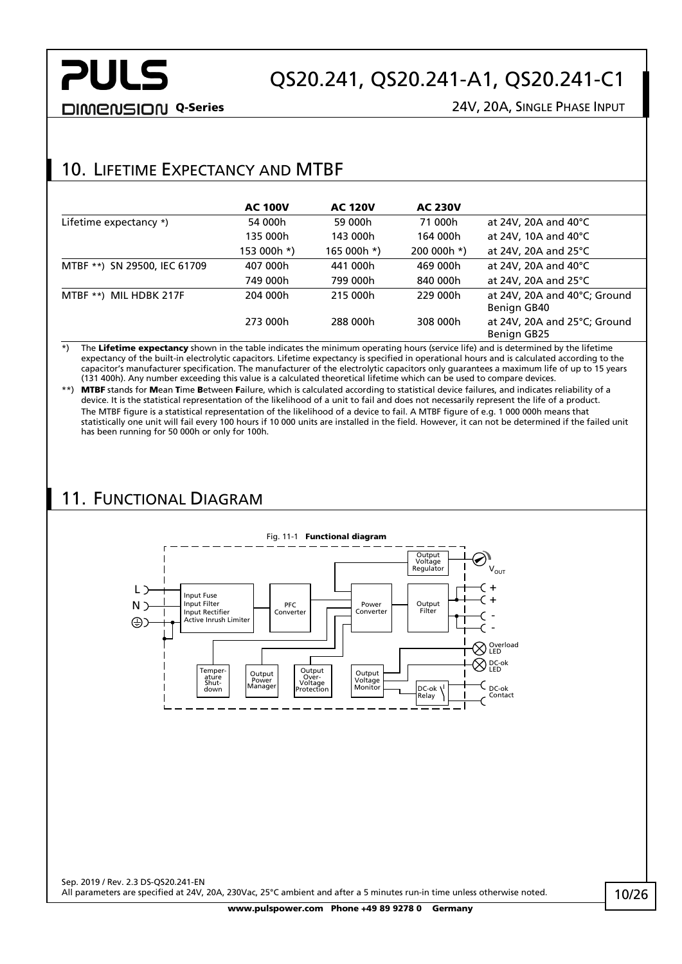**DIMENSION Q-Series** 24V, 20A, SINGLE PHASE INPUT

## <span id="page-9-0"></span>10. LIFETIME EXPECTANCY AND MTBF

|                              | <b>AC 100V</b> | <b>AC 120V</b> | <b>AC 230V</b> |                                             |
|------------------------------|----------------|----------------|----------------|---------------------------------------------|
| Lifetime expectancy *)       | 54 000h        | 59 000h        | 71 000h        | at 24V, 20A and 40°C                        |
|                              | 135 000h       | 143 000h       | 164 000h       | at 24V, 10A and 40°C                        |
|                              | 153 000h *)    | 165 000h *)    | 200 000h *)    | at 24V, 20A and 25°C                        |
| MTBF **) SN 29500, IEC 61709 | 407 000h       | 441 000h       | 469 000h       | at 24V, 20A and 40 $^{\circ}$ C             |
|                              | 749 000h       | 799 000h       | 840 000h       | at 24V, 20A and 25 $\degree$ C              |
| MTBF **) MIL HDBK 217F       | 204 000h       | 215 000h       | 229 000h       | at 24V, 20A and 40°C; Ground<br>Benign GB40 |
|                              | 273 000h       | 288 000h       | 308 000h       | at 24V, 20A and 25°C; Ground<br>Benign GB25 |

 $\overrightarrow{r}$ ) The Lifetime expectancy shown in the table indicates the minimum operating hours (service life) and is determined by the lifetime expectancy of the built-in electrolytic capacitors. Lifetime expectancy is specified in operational hours and is calculated according to the capacitor's manufacturer specification. The manufacturer of the electrolytic capacitors only guarantees a maximum life of up to 15 years (131 400h). Any number exceeding this value is a calculated theoretical lifetime which can be used to compare devices.

\*\*) MTBF stands for Mean Time Between Failure, which is calculated according to statistical device failures, and indicates reliability of a device. It is the statistical representation of the likelihood of a unit to fail and does not necessarily represent the life of a product. The MTBF figure is a statistical representation of the likelihood of a device to fail. A MTBF figure of e.g. 1 000 000h means that statistically one unit will fail every 100 hours if 10 000 units are installed in the field. However, it can not be determined if the failed unit has been running for 50 000h or only for 100h.

## <span id="page-9-1"></span>11. FUNCTIONAL DIAGRAM

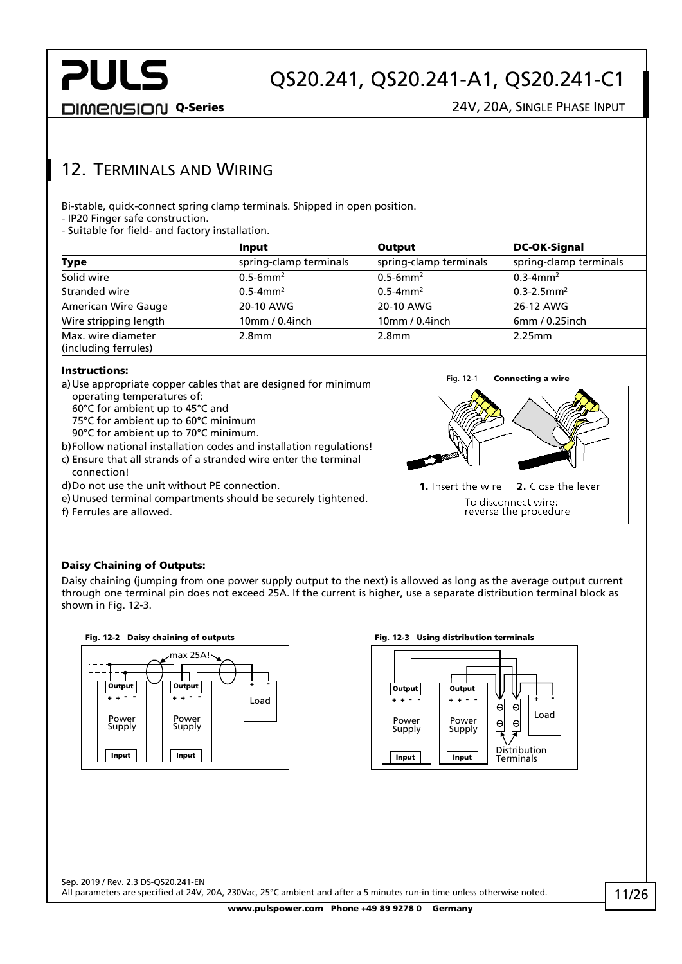## QS20.241, QS20.241-A1, QS20.241-C1

DIMENSION Q-Series 24V, 20A, SINGLE PHASE INPUT

### <span id="page-10-0"></span>12. TERMINALS AND WIRING

Bi-stable, quick-connect spring clamp terminals. Shipped in open position.

- IP20 Finger safe construction.

- Suitable for field- and factory installation.

|                                            | <b>Input</b>              | Output                    | <b>DC-OK-Signal</b>         |
|--------------------------------------------|---------------------------|---------------------------|-----------------------------|
| Type                                       | spring-clamp terminals    | spring-clamp terminals    | spring-clamp terminals      |
| Solid wire                                 | $0.5 - 6$ mm <sup>2</sup> | $0.5 - 6$ mm <sup>2</sup> | $0.3 - 4$ mm <sup>2</sup>   |
| Stranded wire                              | $0.5 - 4$ mm <sup>2</sup> | $0.5 - 4$ mm <sup>2</sup> | $0.3 - 2.5$ mm <sup>2</sup> |
| American Wire Gauge                        | 20-10 AWG                 | 20-10 AWG                 | 26-12 AWG                   |
| Wire stripping length                      | 10mm / 0.4inch            | 10mm / 0.4inch            | 6mm/0.25inch                |
| Max. wire diameter<br>(including ferrules) | 2.8 <sub>mm</sub>         | 2.8 <sub>mm</sub>         | 2.25mm                      |

#### Instructions:

- a)Use appropriate copper cables that are designed for minimum operating temperatures of:
	- 60°C for ambient up to 45°C and
	- 75°C for ambient up to 60°C minimum
	- 90°C for ambient up to 70°C minimum.
- b)Follow national installation codes and installation regulations!
- c) Ensure that all strands of a stranded wire enter the terminal connection!
- d)Do not use the unit without PE connection.
- e)Unused terminal compartments should be securely tightened.

f) Ferrules are allowed.



#### Daisy Chaining of Outputs:

Daisy chaining (jumping from one power supply output to the next) is allowed as long as the average output current through one terminal pin does not exceed 25A. If the current is higher, use a separate distribution terminal block as shown in [Fig. 12-3.](#page-10-1)





#### Fig. 12-2 Daisy chaining of outputs Fig. 12-3 Using distribution terminals

<span id="page-10-1"></span>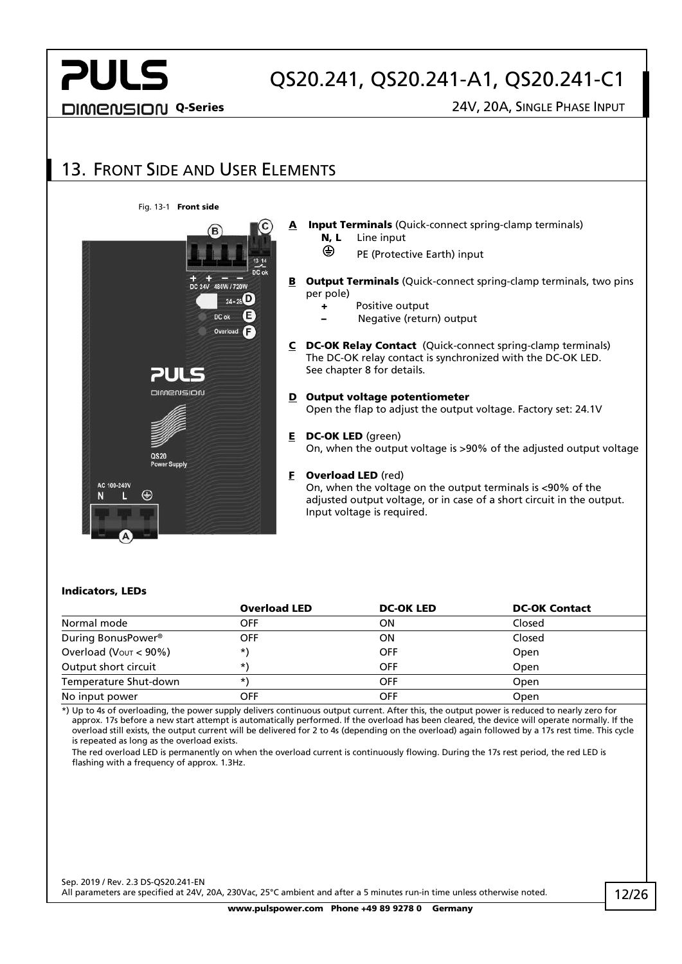## QS20.241, QS20.241-A1, QS20.241-C1

DIMENSION Q-Series 24V, 20A, SINGLE PHASE INPUT

#### <span id="page-11-0"></span>13. FRONT SIDE AND USER ELEMENTS Fig. 13-1 Front side A Input Terminals (Quick-connect spring-clamp terminals) N, L Line input ⊕ PE (Protective Earth) input **B** Output Terminals (Quick-connect spring-clamp terminals, two pins per pole)  $24 - 26$ + Positive output DC of – Negative (return) output C DC-OK Relay Contact (Quick-connect spring-clamp terminals) The DC-OK relay contact is synchronized with the DC-OK LED. See chapter [8](#page-7-1) for details. лн pimenisioni D Output voltage potentiometer Open the flap to adjust the output voltage. Factory set: 24.1V E DC-OK LED (green) On, when the output voltage is >90% of the adjusted output voltage QS20 F Overload LED (red) AC 100-240\ On, when the voltage on the output terminals is <90% of the ⊕ N adjusted output voltage, or in case of a short circuit in the output. Input voltage is required.

#### Indicators, LEDs

|                                      | <b>Overload LED</b> | <b>DC-OK LED</b> | <b>DC-OK Contact</b> |
|--------------------------------------|---------------------|------------------|----------------------|
| Normal mode                          | OFF                 | OΝ               | Closed               |
| During BonusPower <sup>®</sup>       | <b>OFF</b>          | ΟN               | Closed               |
| Overload ( $V_{\text{OUT}} < 90\%$ ) | *)                  | <b>OFF</b>       | Open                 |
| Output short circuit                 | *,                  | <b>OFF</b>       | <b>Open</b>          |
| Temperature Shut-down                | *,                  | <b>OFF</b>       | Open                 |
| No input power                       | OFF                 | <b>OFF</b>       | Open                 |

\*) Up to 4s of overloading, the power supply delivers continuous output current. After this, the output power is reduced to nearly zero for approx. 17s before a new start attempt is automatically performed. If the overload has been cleared, the device will operate normally. If the overload still exists, the output current will be delivered for 2 to 4s (depending on the overload) again followed by a 17s rest time. This cycle is repeated as long as the overload exists.

The red overload LED is permanently on when the overload current is continuously flowing. During the 17s rest period, the red LED is flashing with a frequency of approx. 1.3Hz.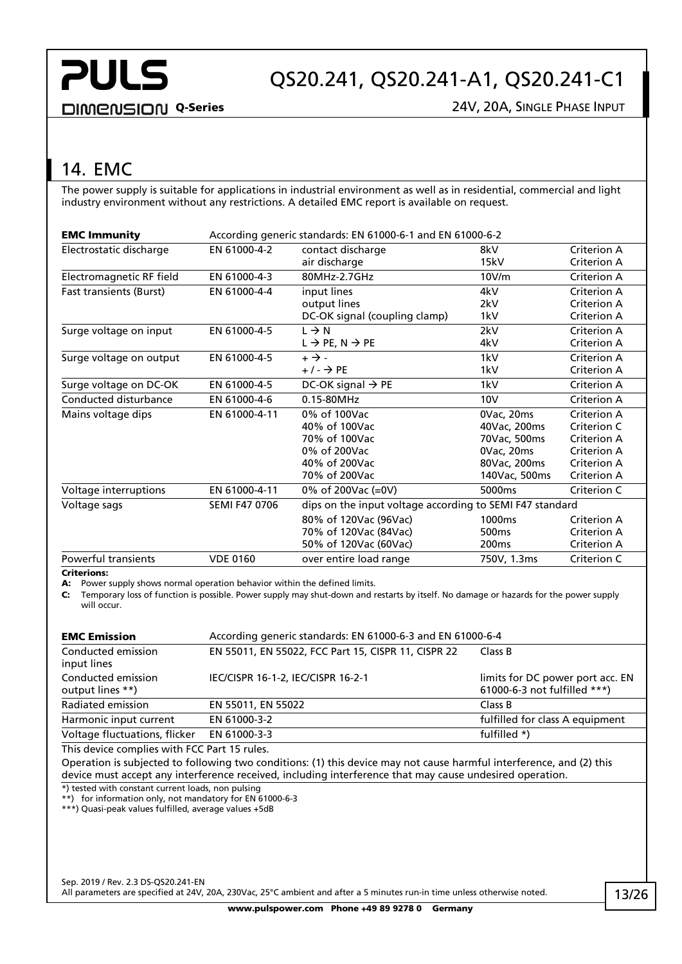## QS20.241, QS20.241-A1, QS20.241-C1

**DIMENSION Q-Series** 24V, 20A, SINGLE PHASE INPUT

## <span id="page-12-0"></span>14. EMC

The power supply is suitable for applications in industrial environment as well as in residential, commercial and light industry environment without any restrictions. A detailed EMC report is available on request.

| <b>EMC Immunity</b>            | According generic standards: EN 61000-6-1 and EN 61000-6-2 |                                                          |                    |             |
|--------------------------------|------------------------------------------------------------|----------------------------------------------------------|--------------------|-------------|
| Electrostatic discharge        | EN 61000-4-2                                               | contact discharge                                        | 8kV                | Criterion A |
|                                |                                                            | air discharge                                            | 15kV               | Criterion A |
| Electromagnetic RF field       | EN 61000-4-3                                               | 80MHz-2.7GHz                                             | 10V/m              | Criterion A |
| <b>Fast transients (Burst)</b> | EN 61000-4-4                                               | input lines                                              | 4kV                | Criterion A |
|                                |                                                            | output lines                                             | 2kV                | Criterion A |
|                                |                                                            | DC-OK signal (coupling clamp)                            | 1kV                | Criterion A |
| Surge voltage on input         | EN 61000-4-5                                               | $L \rightarrow N$                                        | 2kV                | Criterion A |
|                                |                                                            | $L \rightarrow PE, N \rightarrow PE$                     | 4kV                | Criterion A |
| Surge voltage on output        | EN 61000-4-5                                               | $+ \rightarrow -$                                        | 1kV                | Criterion A |
|                                |                                                            | + / - → PE                                               | 1kV                | Criterion A |
| Surge voltage on DC-OK         | EN 61000-4-5                                               | DC-OK signal $\rightarrow$ PE                            | 1kV                | Criterion A |
| Conducted disturbance          | EN 61000-4-6                                               | 0.15-80MHz                                               | 10V                | Criterion A |
| Mains voltage dips             | EN 61000-4-11                                              | 0% of 100Vac                                             | 0Vac, 20ms         | Criterion A |
|                                |                                                            | 40% of 100Vac                                            | 40Vac, 200ms       | Criterion C |
|                                |                                                            | 70% of 100Vac                                            | 70Vac, 500ms       | Criterion A |
|                                |                                                            | 0% of 200Vac                                             | 0Vac, 20ms         | Criterion A |
|                                |                                                            | 40% of 200Vac                                            | 80Vac, 200ms       | Criterion A |
|                                |                                                            | 70% of 200Vac                                            | 140Vac, 500ms      | Criterion A |
| Voltage interruptions          | EN 61000-4-11                                              | 0% of 200Vac (=0V)                                       | 5000ms             | Criterion C |
| Voltage sags                   | <b>SEMI F47 0706</b>                                       | dips on the input voltage according to SEMI F47 standard |                    |             |
|                                |                                                            | 80% of 120Vac (96Vac)                                    | 1000 <sub>ms</sub> | Criterion A |
|                                |                                                            | 70% of 120Vac (84Vac)                                    | 500 <sub>ms</sub>  | Criterion A |
|                                |                                                            | 50% of 120Vac (60Vac)                                    | 200 <sub>ms</sub>  | Criterion A |
| Powerful transients            | <b>VDE 0160</b>                                            | over entire load range                                   | 750V, 1.3ms        | Criterion C |
|                                |                                                            |                                                          |                    |             |

#### Criterions:

A: Power supply shows normal operation behavior within the defined limits.

C: Temporary loss of function is possible. Power supply may shut-down and restarts by itself. No damage or hazards for the power supply will occur.

| <b>EMC Emission</b>                    | According generic standards: EN 61000-6-3 and EN 61000-6-4 |                                                                  |  |  |
|----------------------------------------|------------------------------------------------------------|------------------------------------------------------------------|--|--|
| Conducted emission<br>input lines      | EN 55011, EN 55022, FCC Part 15, CISPR 11, CISPR 22        | Class B                                                          |  |  |
| Conducted emission<br>output lines **) | IEC/CISPR 16-1-2, IEC/CISPR 16-2-1                         | limits for DC power port acc. EN<br>61000-6-3 not fulfilled ***) |  |  |
| Radiated emission                      | EN 55011, EN 55022                                         | Class B                                                          |  |  |
| Harmonic input current                 | EN 61000-3-2                                               | fulfilled for class A equipment                                  |  |  |
| Voltage fluctuations, flicker          | EN 61000-3-3                                               | fulfilled *)                                                     |  |  |

This device complies with FCC Part 15 rules.

Operation is subjected to following two conditions: (1) this device may not cause harmful interference, and (2) this device must accept any interference received, including interference that may cause undesired operation.

\*) tested with constant current loads, non pulsing

\*\*) for information only, not mandatory for EN 61000-6-3

\*\*\*) Quasi-peak values fulfilled, average values +5dB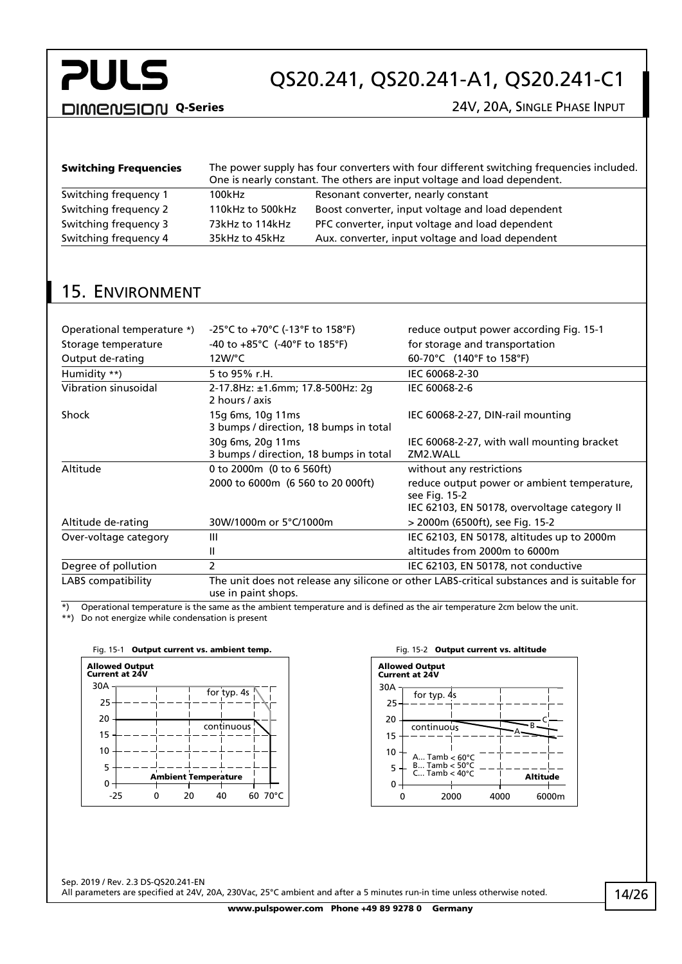## QS20.241, QS20.241-A1, QS20.241-C1

DIMENSION Q-Series 24V, 20A, SINGLE PHASE INPUT

| <b>Switching Frequencies</b> | The power supply has four converters with four different switching frequencies included.<br>One is nearly constant. The others are input voltage and load dependent. |                                                   |  |
|------------------------------|----------------------------------------------------------------------------------------------------------------------------------------------------------------------|---------------------------------------------------|--|
| Switching frequency 1        | 100kHz                                                                                                                                                               | Resonant converter, nearly constant               |  |
| Switching frequency 2        | 110kHz to 500kHz                                                                                                                                                     | Boost converter, input voltage and load dependent |  |
| Switching frequency 3        | 73kHz to 114kHz                                                                                                                                                      | PFC converter, input voltage and load dependent   |  |
| Switching frequency 4        | 35kHz to 45kHz                                                                                                                                                       | Aux. converter, input voltage and load dependent  |  |

### <span id="page-13-0"></span>15. ENVIRONMENT

| Operational temperature *) | -25°C to +70°C (-13°F to 158°F)                             | reduce output power according Fig. 15-1                                                      |
|----------------------------|-------------------------------------------------------------|----------------------------------------------------------------------------------------------|
| Storage temperature        | -40 to $+85^{\circ}$ C (-40°F to 185°F)                     | for storage and transportation                                                               |
| Output de-rating           | $12W$ <sup>o</sup> C                                        | 60-70°C (140°F to 158°F)                                                                     |
| Humidity **)               | 5 to 95% r.H.                                               | IEC 60068-2-30                                                                               |
| Vibration sinusoidal       | 2-17.8Hz: ±1.6mm; 17.8-500Hz: 2g<br>2 hours / axis          | IEC 60068-2-6                                                                                |
| Shock                      | 15g 6ms, 10g 11ms<br>3 bumps / direction, 18 bumps in total | IEC 60068-2-27, DIN-rail mounting                                                            |
|                            | 30g 6ms, 20g 11ms<br>3 bumps / direction, 18 bumps in total | IEC 60068-2-27, with wall mounting bracket<br>ZM2.WALL                                       |
| Altitude                   | 0 to 2000m (0 to 6 560ft)                                   | without any restrictions                                                                     |
|                            | 2000 to 6000m (6 560 to 20 000ft)                           | reduce output power or ambient temperature,<br>see Fig. 15-2                                 |
|                            |                                                             | IEC 62103, EN 50178, overvoltage category II                                                 |
| Altitude de-rating         | 30W/1000m or 5°C/1000m                                      | > 2000m (6500ft), see Fig. 15-2                                                              |
| Over-voltage category      | Ш                                                           | IEC 62103, EN 50178, altitudes up to 2000m                                                   |
|                            | Ш                                                           | altitudes from 2000m to 6000m                                                                |
| Degree of pollution        | 2                                                           | IEC 62103, EN 50178, not conductive                                                          |
| LABS compatibility         | use in paint shops.                                         | The unit does not release any silicone or other LABS-critical substances and is suitable for |

\*) Operational temperature is the same as the ambient temperature and is defined as the air temperature 2cm below the unit.

\*\*) Do not energize while condensation is present

<span id="page-13-1"></span>

<span id="page-13-2"></span>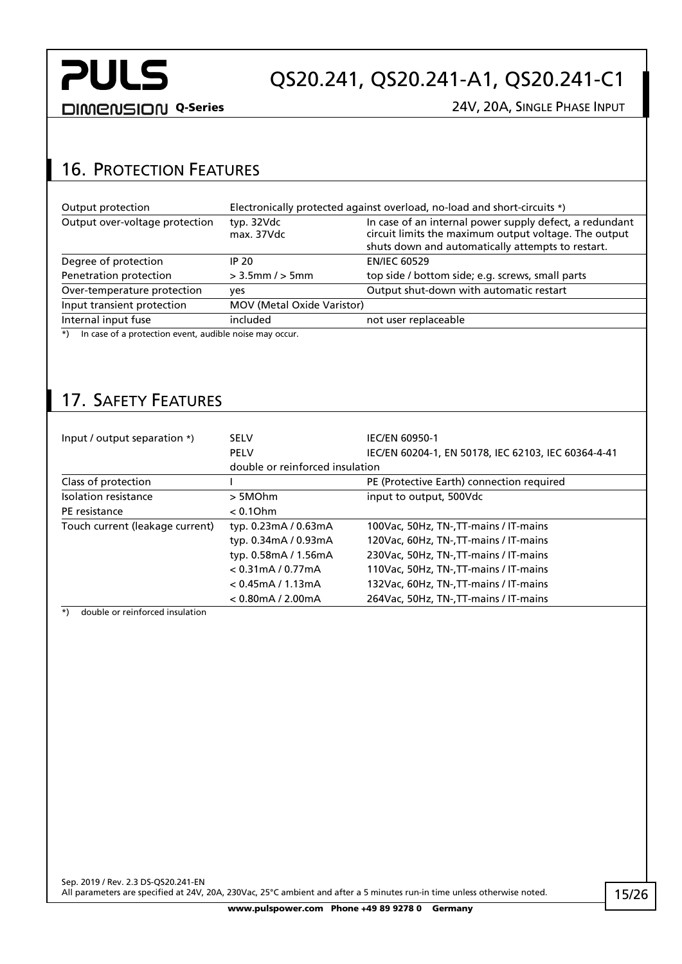## QS20.241, QS20.241-A1, QS20.241-C1

DIMENSION Q-Series 24V, 20A, SINGLE PHASE INPUT

### <span id="page-14-0"></span>16. PROTECTION FEATURES

| Output protection                                                  | Electronically protected against overload, no-load and short-circuits *) |                                                                                                                                                                       |  |
|--------------------------------------------------------------------|--------------------------------------------------------------------------|-----------------------------------------------------------------------------------------------------------------------------------------------------------------------|--|
| Output over-voltage protection                                     | typ. 32Vdc<br>max. 37Vdc                                                 | In case of an internal power supply defect, a redundant<br>circuit limits the maximum output voltage. The output<br>shuts down and automatically attempts to restart. |  |
| Degree of protection                                               | IP 20                                                                    | <b>EN/IEC 60529</b>                                                                                                                                                   |  |
| Penetration protection                                             | $>$ 3.5mm / $>$ 5mm                                                      | top side / bottom side; e.g. screws, small parts                                                                                                                      |  |
| Over-temperature protection                                        | ves                                                                      | Output shut-down with automatic restart                                                                                                                               |  |
| Input transient protection                                         | MOV (Metal Oxide Varistor)                                               |                                                                                                                                                                       |  |
| Internal input fuse                                                | included                                                                 | not user replaceable                                                                                                                                                  |  |
| In case of a protection event, audible noise may occur.<br>$\star$ |                                                                          |                                                                                                                                                                       |  |

### <span id="page-14-1"></span>17. SAFETY FEATURES

| Input / output separation *)    | <b>SELV</b>                     | <b>IEC/EN 60950-1</b>                               |
|---------------------------------|---------------------------------|-----------------------------------------------------|
|                                 | <b>PELV</b>                     | IEC/EN 60204-1, EN 50178, IEC 62103, IEC 60364-4-41 |
|                                 | double or reinforced insulation |                                                     |
| Class of protection             |                                 | PE (Protective Earth) connection required           |
| Isolation resistance            | > 5MOhm                         | input to output, 500Vdc                             |
| PE resistance                   | $< 0.1$ Ohm                     |                                                     |
| Touch current (leakage current) | typ. 0.23mA / 0.63mA            | 100Vac, 50Hz, TN-, TT-mains / IT-mains              |
|                                 | typ. 0.34mA / 0.93mA            | 120Vac, 60Hz, TN-, TT-mains / IT-mains              |
|                                 | typ. 0.58mA / 1.56mA            | 230Vac, 50Hz, TN-, TT-mains / IT-mains              |
|                                 | $< 0.31$ mA / 0.77mA            | 110Vac, 50Hz, TN-, TT-mains / IT-mains              |
|                                 | $< 0.45$ mA / 1.13mA            | 132Vac, 60Hz, TN-, TT-mains / IT-mains              |
|                                 | $< 0.80$ mA / 2.00mA            | 264 Vac, 50 Hz, TN-, TT-mains / IT-mains            |

\*) double or reinforced insulation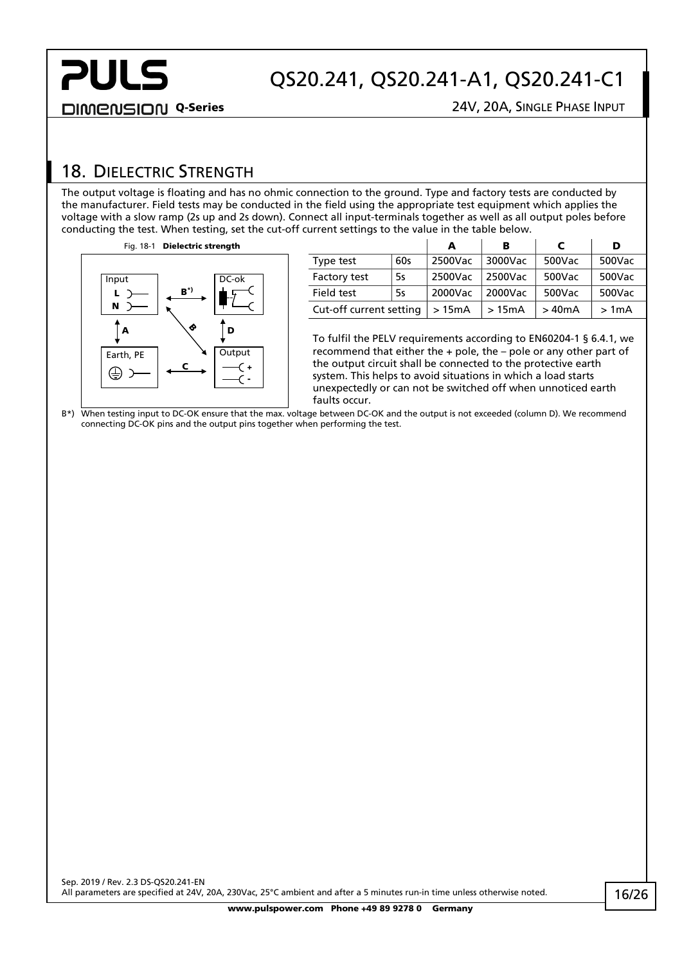## QS20.241, QS20.241-A1, QS20.241-C1

DIMENSION Q-Series 24V, 20A, SINGLE PHASE INPUT

### <span id="page-15-0"></span>18. DIELECTRIC STRENGTH

The output voltage is floating and has no ohmic connection to the ground. Type and factory tests are conducted by the manufacturer. Field tests may be conducted in the field using the appropriate test equipment which applies the voltage with a slow ramp (2s up and 2s down). Connect all input-terminals together as well as all output poles before conducting the test. When testing, set the cut-off current settings to the value in the table below.



|                         |     | А       | в       | C      | D      |
|-------------------------|-----|---------|---------|--------|--------|
| Type test               | 60s | 2500Vac | 3000Vac | 500Vac | 500Vac |
| Factory test            | 5s  | 2500Vac | 2500Vac | 500Vac | 500Vac |
| Field test              | 5s  | 2000Vac | 2000Vac | 500Vac | 500Vac |
| Cut-off current setting |     | >15mA   | >15mA   | >40mA  | >1mA   |

To fulfil the PELV requirements according to EN60204-1 § 6.4.1, we recommend that either the + pole, the – pole or any other part of the output circuit shall be connected to the protective earth system. This helps to avoid situations in which a load starts unexpectedly or can not be switched off when unnoticed earth faults occur.

B\*) When testing input to DC-OK ensure that the max. voltage between DC-OK and the output is not exceeded (column D). We recommend connecting DC-OK pins and the output pins together when performing the test.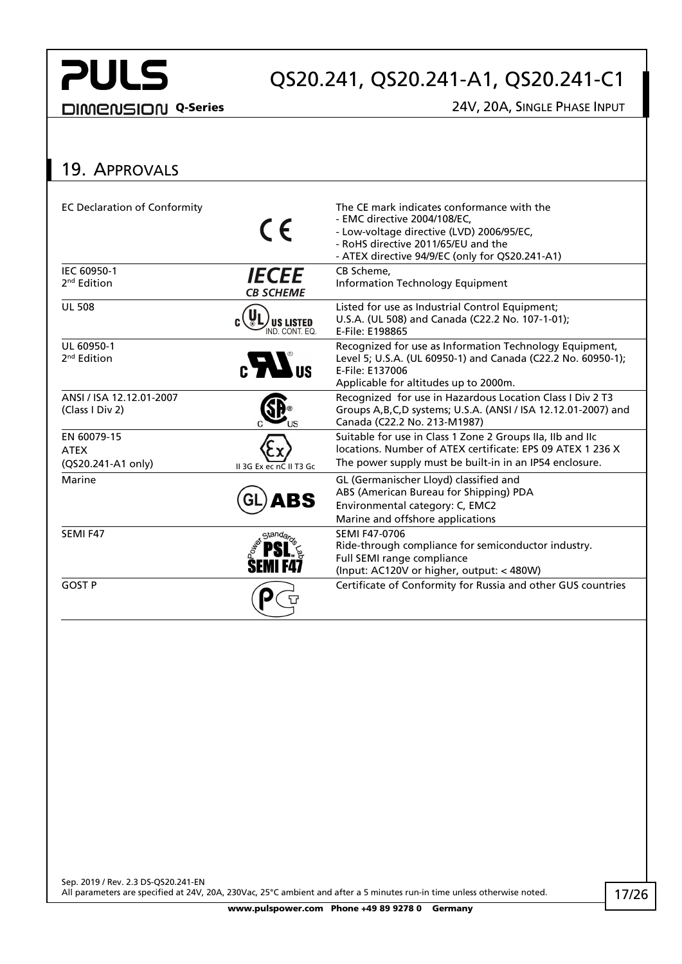## QS20.241, QS20.241-A1, QS20.241-C1

DIMENSION Q-Series 24V, 20A, SINGLE PHASE INPUT

### <span id="page-16-0"></span>19. APPROVALS

| <b>EC Declaration of Conformity</b>              | CE                                 | The CE mark indicates conformance with the<br>- EMC directive 2004/108/EC.<br>- Low-voltage directive (LVD) 2006/95/EC,<br>- RoHS directive 2011/65/EU and the<br>- ATEX directive 94/9/EC (only for QS20.241-A1) |
|--------------------------------------------------|------------------------------------|-------------------------------------------------------------------------------------------------------------------------------------------------------------------------------------------------------------------|
| IEC 60950-1<br>2 <sup>nd</sup> Edition           | <b>IECEE</b><br><b>CB SCHEME</b>   | CB Scheme,<br>Information Technology Equipment                                                                                                                                                                    |
| <b>UL 508</b>                                    | <b>US LISTED</b><br>IND. CONT. EQ. | Listed for use as Industrial Control Equipment;<br>U.S.A. (UL 508) and Canada (C22.2 No. 107-1-01);<br>E-File: E198865                                                                                            |
| UL 60950-1<br>2 <sup>nd</sup> Edition            | $\mathbf{c}$ $\mathbf{W}$ us       | Recognized for use as Information Technology Equipment,<br>Level 5; U.S.A. (UL 60950-1) and Canada (C22.2 No. 60950-1);<br>E-File: E137006<br>Applicable for altitudes up to 2000m.                               |
| ANSI / ISA 12.12.01-2007<br>(Class I Div 2)      |                                    | Recognized for use in Hazardous Location Class I Div 2 T3<br>Groups A, B, C, D systems; U.S.A. (ANSI / ISA 12.12.01-2007) and<br>Canada (C22.2 No. 213-M1987)                                                     |
| EN 60079-15<br><b>ATEX</b><br>(QS20.241-A1 only) | II 3G Ex ec nC II T3 Gc            | Suitable for use in Class 1 Zone 2 Groups IIa, IIb and IIc<br>locations. Number of ATEX certificate: EPS 09 ATEX 1 236 X<br>The power supply must be built-in in an IP54 enclosure.                               |
| Marine                                           | <b>ABS</b>                         | GL (Germanischer Lloyd) classified and<br>ABS (American Bureau for Shipping) PDA<br>Environmental category: C, EMC2<br>Marine and offshore applications                                                           |
| SEMI F47                                         | Stand <sub>a</sub>                 | <b>SEMI F47-0706</b><br>Ride-through compliance for semiconductor industry.<br>Full SEMI range compliance<br>(Input: AC120V or higher, output: < 480W)                                                            |
| <b>GOST P</b>                                    |                                    | Certificate of Conformity for Russia and other GUS countries                                                                                                                                                      |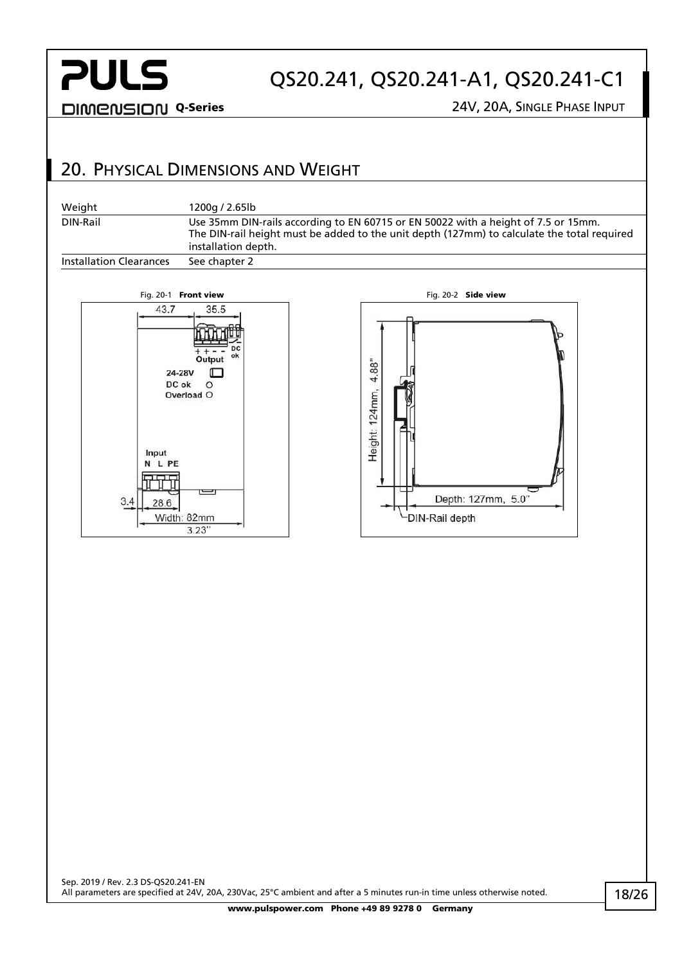$3.4$ 

28.6

Width: 82mm

 $3.23'$ 

## QS20.241, QS20.241-A1, QS20.241-C1

-DIN-Rail depth

DIMENSION Q-Series 24V, 20A, SINGLE PHASE INPUT

### <span id="page-17-0"></span>20. PHYSICAL DIMENSIONS AND WEIGHT

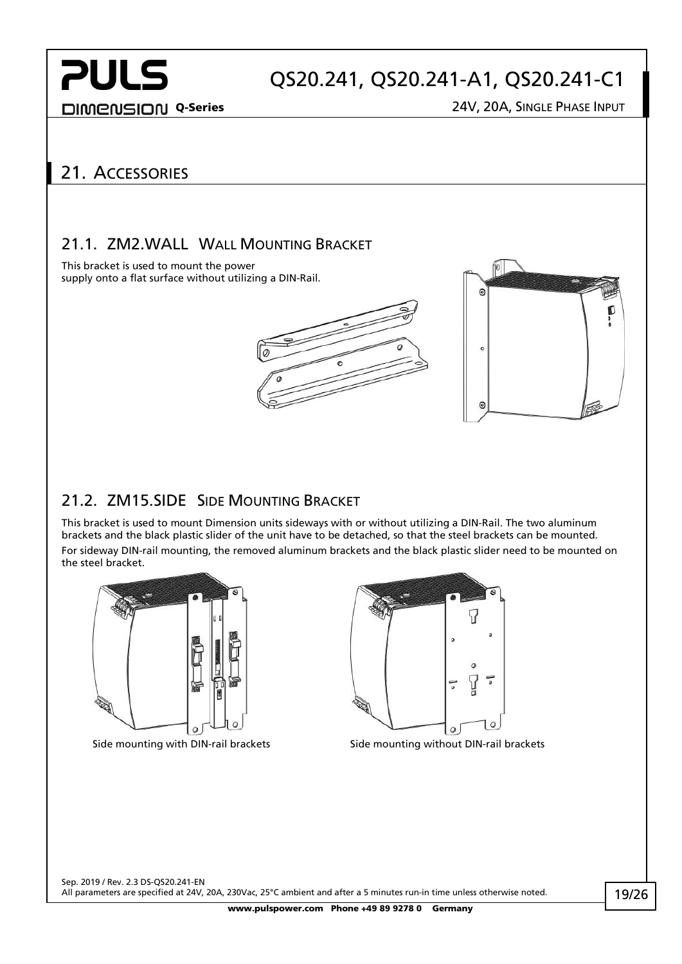DIMENSION Q-Series 24V, 20A, SINGLE PHASE INPUT

## <span id="page-18-0"></span>21. ACCESSORIES

#### <span id="page-18-1"></span>21.1. ZM2.WALL WALL MOUNTING BRACKET

This bracket is used to mount the power supply onto a flat surface without utilizing a DIN-Rail.





### <span id="page-18-2"></span>21.2. ZM15.SIDE SIDE MOUNTING BRACKET

This bracket is used to mount Dimension units sideways with or without utilizing a DIN-Rail. The two aluminum brackets and the black plastic slider of the unit have to be detached, so that the steel brackets can be mounted. For sideway DIN-rail mounting, the removed aluminum brackets and the black plastic slider need to be mounted on the steel bracket.





Side mounting with DIN-rail brackets Side mounting without DIN-rail brackets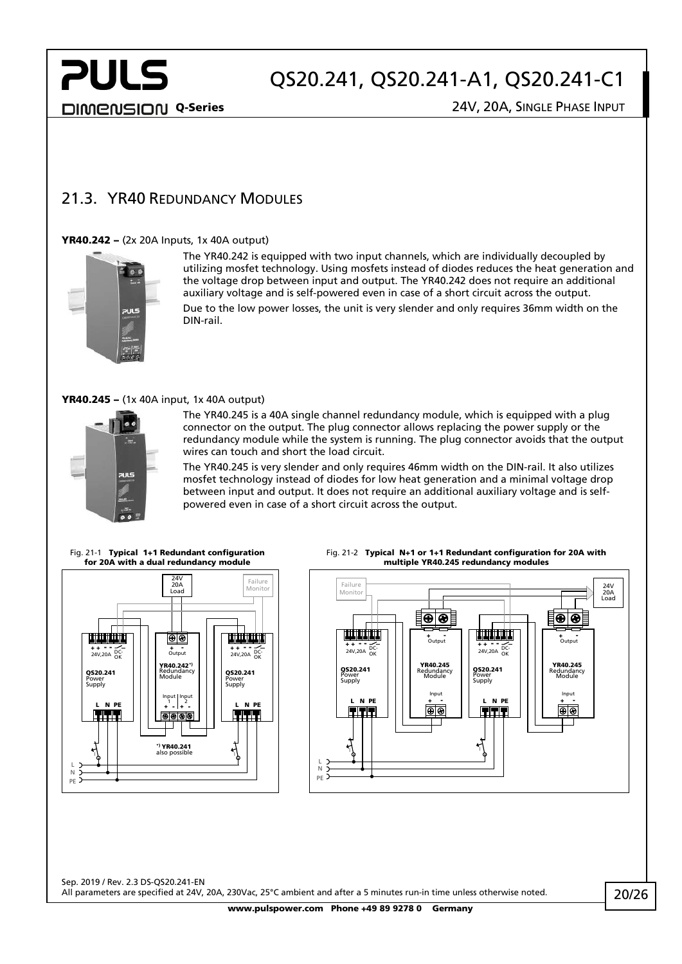DIMENSION Q-Series 24V, 20A, SINGLE PHASE INPUT

**PULS** 

#### <span id="page-19-0"></span>21.3. YR40 REDUNDANCY MODULES

#### YR40.242 – (2x 20A Inputs, 1x 40A output)



The YR40.242 is equipped with two input channels, which are individually decoupled by utilizing mosfet technology. Using mosfets instead of diodes reduces the heat generation and the voltage drop between input and output. The YR40.242 does not require an additional auxiliary voltage and is self-powered even in case of a short circuit across the output. Due to the low power losses, the unit is very slender and only requires 36mm width on the DIN-rail.

#### YR40.245 – (1x 40A input, 1x 40A output)



The YR40.245 is a 40A single channel redundancy module, which is equipped with a plug connector on the output. The plug connector allows replacing the power supply or the redundancy module while the system is running. The plug connector avoids that the output wires can touch and short the load circuit.

The YR40.245 is very slender and only requires 46mm width on the DIN-rail. It also utilizes mosfet technology instead of diodes for low heat generation and a minimal voltage drop between input and output. It does not require an additional auxiliary voltage and is selfpowered even in case of a short circuit across the output.

Fig. 21-1 Typical 1+1 Redundant configuration for 20A with a dual redundancy module





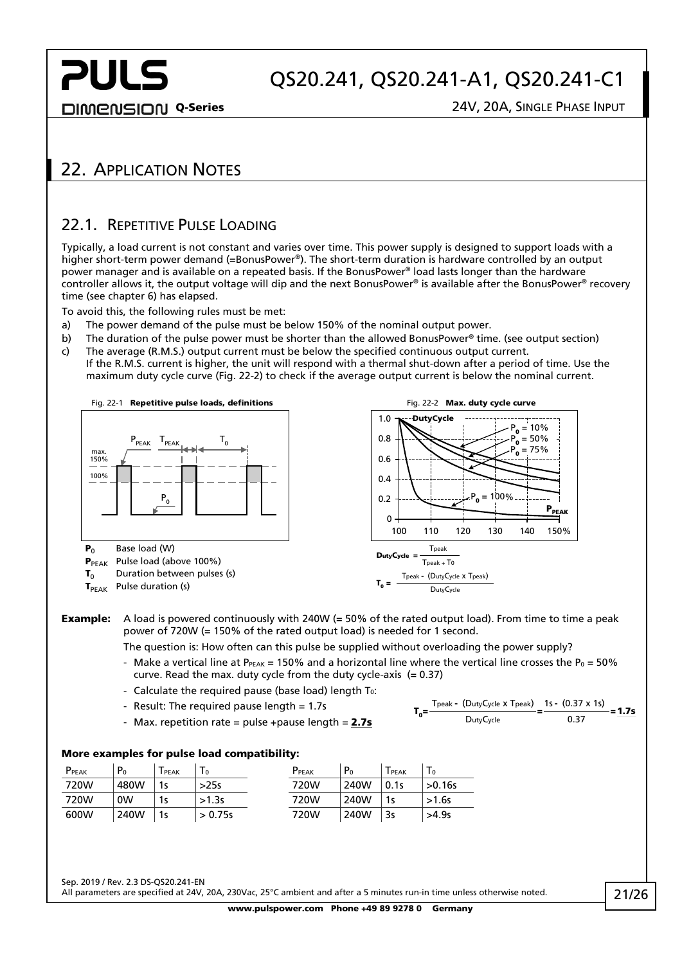**PULS** 

DIMENSION Q-Series 24V, 20A, SINGLE PHASE INPUT

### <span id="page-20-1"></span><span id="page-20-0"></span>22. APPLICATION NOTES

#### 22.1. REPETITIVE PULSE LOADING

Typically, a load current is not constant and varies over time. This power supply is designed to support loads with a higher short-term power demand (=BonusPower®). The short-term duration is hardware controlled by an output power manager and is available on a repeated basis. If the BonusPower® load lasts longer than the hardware controller allows it, the output voltage will dip and the next BonusPower® is available after the BonusPower® recovery time (see chapter [6\)](#page-5-0) has elapsed.

To avoid this, the following rules must be met:

- a) The power demand of the pulse must be below 150% of the nominal output power.
- b) The duration of the pulse power must be shorter than the allowed BonusPower® time. (see output section)
- c) The average (R.M.S.) output current must be below the specified continuous output current. If the R.M.S. current is higher, the unit will respond with a thermal shut-down after a period of time. Use the maximum duty cycle curve [\(Fig. 22-2\)](#page-20-2) to check if the average output current is below the nominal current.



#### **Example:** A load is powered continuously with 240W (= 50% of the rated output load). From time to time a peak power of 720W (= 150% of the rated output load) is needed for 1 second.

The question is: How often can this pulse be supplied without overloading the power supply?

- Make a vertical line at P<sub>PEAK</sub> = 150% and a horizontal line where the vertical line crosses the P<sub>0</sub> = 50% curve. Read the max. duty cycle from the duty cycle-axis  $(= 0.37)$
- Calculate the required pause (base load) length  $T_0$ :
- Result: The required pause length = 1.7s
- Max. repetition rate = pulse +pause length =  $2.7s$

<span id="page-20-2"></span>
$$
T_0 = \frac{T_{\text{peak}} - (\text{DutyCycle} \times \text{Tpeak})}{\text{DutyCycle}} = \frac{1s - (0.37 \times 1s)}{0.37} = 1.7s
$$

#### More examples for pulse load compatibility:

| $P_{PEAK}$ | P <sub>0</sub> | PEAK | $\mathbf{1} \mathbf{0}$ | P <sub>PEAK</sub> | P <sub>0</sub> | PEAK | $\mathbf{1}_{0}$ |
|------------|----------------|------|-------------------------|-------------------|----------------|------|------------------|
| 720W       | 480W           | 1s   | >25s                    | 720W              | 240W           | 0.1s | >0.16s           |
| 720W       | <sub>0</sub> W | 1s   | >1.3s                   | 720W              | 240W           | 1s   | $>1.6s$          |
| 600W       | 240W           | 1s   | > 0.75s                 | 720W              | 240W           | 3s   | >4.9s            |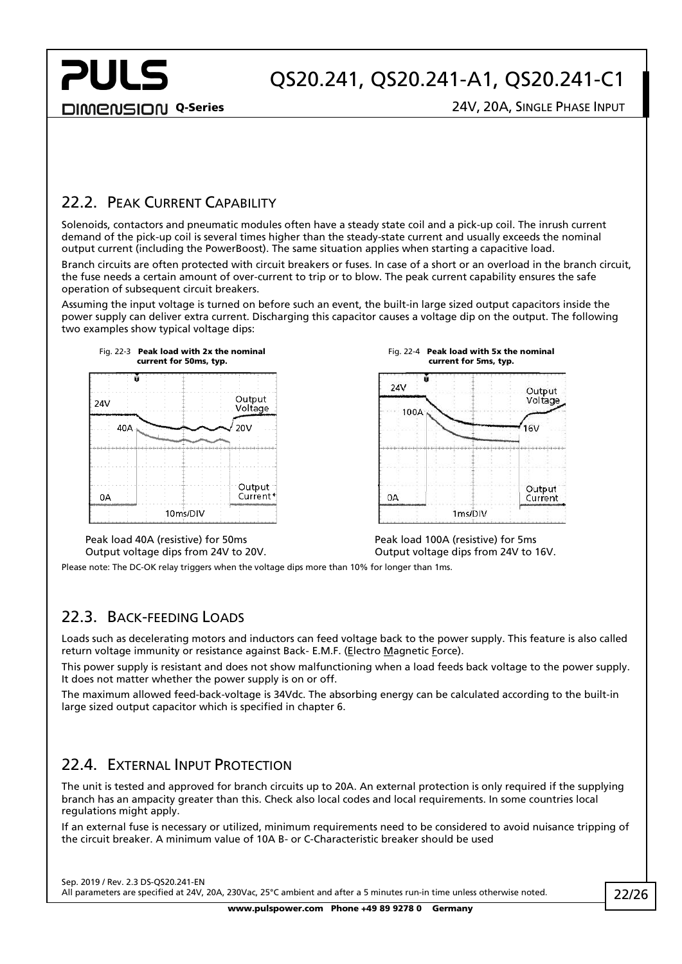**DIMENSION Q-Series** 24V, 20A, SINGLE PHASE INPUT

**PULS** 

Output

Voltage

Output

Current

 $16V$ 

#### <span id="page-21-0"></span>22.2. PEAK CURRENT CAPABILITY

Solenoids, contactors and pneumatic modules often have a steady state coil and a pick-up coil. The inrush current demand of the pick-up coil is several times higher than the steady-state current and usually exceeds the nominal output current (including the PowerBoost). The same situation applies when starting a capacitive load.

Branch circuits are often protected with circuit breakers or fuses. In case of a short or an overload in the branch circuit, the fuse needs a certain amount of over-current to trip or to blow. The peak current capability ensures the safe operation of subsequent circuit breakers.

Assuming the input voltage is turned on before such an event, the built-in large sized output capacitors inside the power supply can deliver extra current. Discharging this capacitor causes a voltage dip on the output. The following two examples show typical voltage dips:





Peak load 40A (resistive) for 50ms Output voltage dips from 24V to 20V.

Peak load 100A (resistive) for 5ms Output voltage dips from 24V to 16V.

Fig. 22-4 Peak load with 5x the nominal

<span id="page-21-1"></span>Please note: The DC-OK relay triggers when the voltage dips more than 10% for longer than 1ms.

#### 22.3. BACK-FEEDING LOADS

Loads such as decelerating motors and inductors can feed voltage back to the power supply. This feature is also called return voltage immunity or resistance against Back- E.M.F. (Electro Magnetic Force).

This power supply is resistant and does not show malfunctioning when a load feeds back voltage to the power supply. It does not matter whether the power supply is on or off.

The maximum allowed feed-back-voltage is 34Vdc. The absorbing energy can be calculated according to the built-in large sized output capacitor which is specified in chapter [6.](#page-5-0)

#### <span id="page-21-2"></span>22.4. EXTERNAL INPUT PROTECTION

The unit is tested and approved for branch circuits up to 20A. An external protection is only required if the supplying branch has an ampacity greater than this. Check also local codes and local requirements. In some countries local regulations might apply.

If an external fuse is necessary or utilized, minimum requirements need to be considered to avoid nuisance tripping of the circuit breaker. A minimum value of 10A B- or C-Characteristic breaker should be used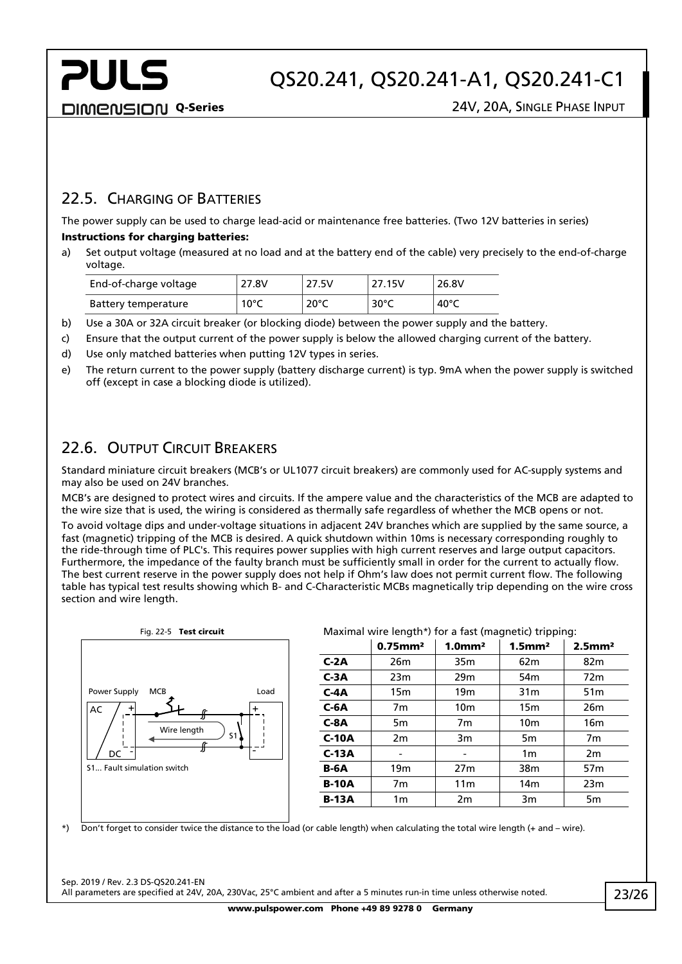**PULS** 

#### <span id="page-22-0"></span>22.5. CHARGING OF BATTERIES

The power supply can be used to charge lead-acid or maintenance free batteries. (Two 12V batteries in series) Instructions for charging batteries:

a) Set output voltage (measured at no load and at the battery end of the cable) very precisely to the end-of-charge voltage.

| End-of-charge voltage | 27.8V | 27.5V          | 27.15V          | 26.8V          |
|-----------------------|-------|----------------|-----------------|----------------|
| Battery temperature   | 10°C  | $20^{\circ}$ C | 30 $^{\circ}$ C | $40^{\circ}$ C |

- b) Use a 30A or 32A circuit breaker (or blocking diode) between the power supply and the battery.
- c) Ensure that the output current of the power supply is below the allowed charging current of the battery.
- d) Use only matched batteries when putting 12V types in series.
- e) The return current to the power supply (battery discharge current) is typ. 9mA when the power supply is switched off (except in case a blocking diode is utilized).

#### <span id="page-22-1"></span>22.6. OUTPUT CIRCUIT BREAKERS

Standard miniature circuit breakers (MCB's or UL1077 circuit breakers) are commonly used for AC-supply systems and may also be used on 24V branches.

MCB's are designed to protect wires and circuits. If the ampere value and the characteristics of the MCB are adapted to the wire size that is used, the wiring is considered as thermally safe regardless of whether the MCB opens or not.

To avoid voltage dips and under-voltage situations in adjacent 24V branches which are supplied by the same source, a fast (magnetic) tripping of the MCB is desired. A quick shutdown within 10ms is necessary corresponding roughly to the ride-through time of PLC's. This requires power supplies with high current reserves and large output capacitors. Furthermore, the impedance of the faulty branch must be sufficiently small in order for the current to actually flow. The best current reserve in the power supply does not help if Ohm's law does not permit current flow. The following table has typical test results showing which B- and C-Characteristic MCBs magnetically trip depending on the wire cross section and wire length.



#### Fig. 22-5 Test circuit Maximal wire length\*) for a fast (magnetic) tripping:

|              | $0.75$ mm <sup>2</sup> | 1.0 <sup>m</sup> | $1.5$ mm <sup>2</sup> | $2.5$ mm <sup>2</sup> |
|--------------|------------------------|------------------|-----------------------|-----------------------|
| $C-2A$       | 26 <sub>m</sub>        | 35 <sub>m</sub>  | 62 <sub>m</sub>       | 82 <sub>m</sub>       |
| $C-3A$       | 23m                    | 29m              | 54 <sub>m</sub>       | 72 <sub>m</sub>       |
| $C-4A$       | 15 <sub>m</sub>        | 19 <sub>m</sub>  | 31 <sub>m</sub>       | 51 <sub>m</sub>       |
| $C-6A$       | 7m                     | 10 <sub>m</sub>  | 15 <sub>m</sub>       | 26 <sub>m</sub>       |
| $C-8A$       | 5 <sub>m</sub>         | 7m               | 10 <sub>m</sub>       | 16 <sub>m</sub>       |
| $C-10A$      | 2m                     | 3m               | 5 <sub>m</sub>        | 7m                    |
| $C-13A$      |                        |                  | 1 <sub>m</sub>        | 2m                    |
| <b>B-6A</b>  | 19 <sub>m</sub>        | 27 <sub>m</sub>  | 38m                   | 57 <sub>m</sub>       |
| <b>B-10A</b> | 7 <sub>m</sub>         | 11 <sub>m</sub>  | 14 <sub>m</sub>       | 23m                   |
| <b>B-13A</b> | 1 <sub>m</sub>         | 2m               | 3m                    | 5m                    |

\*) Don't forget to consider twice the distance to the load (or cable length) when calculating the total wire length (+ and – wire).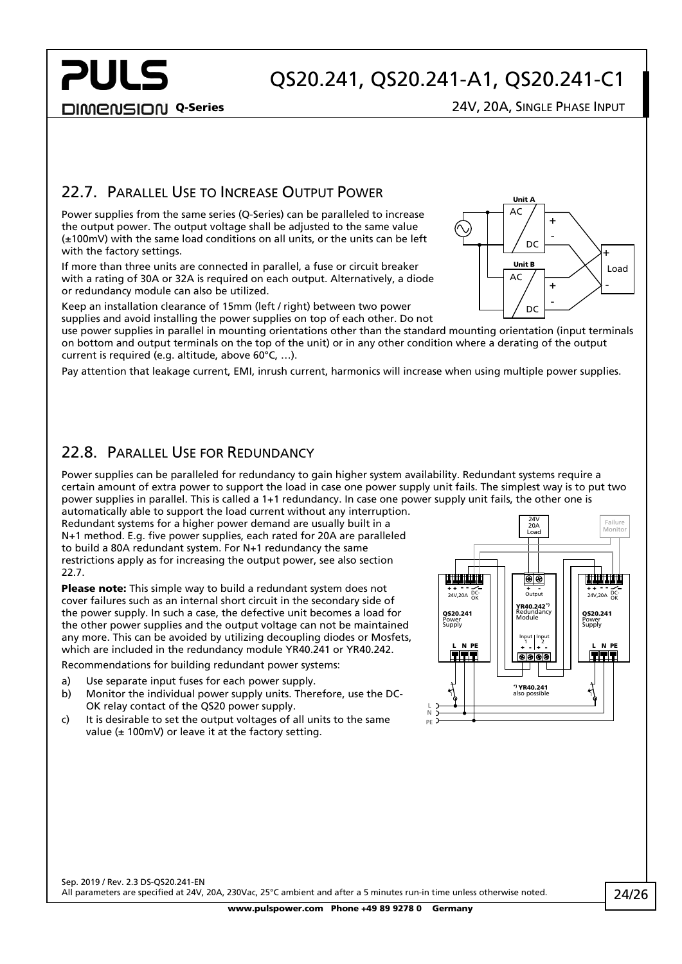**PULS** 

DIMENSION Q-Series 24V, 20A, SINGLE PHASE INPUT

#### <span id="page-23-0"></span>22.7. PARALLEL USE TO INCREASE OUTPUT POWER

Power supplies from the same series (Q-Series) can be paralleled to increase the output power. The output voltage shall be adjusted to the same value (±100mV) with the same load conditions on all units, or the units can be left with the factory settings.

If more than three units are connected in parallel, a fuse or circuit breaker with a rating of 30A or 32A is required on each output. Alternatively, a diode or redundancy module can also be utilized.

Keep an installation clearance of 15mm (left / right) between two power supplies and avoid installing the power supplies on top of each other. Do not

use power supplies in parallel in mounting orientations other than the standard mounting orientation (input terminals on bottom and output terminals on the top of the unit) or in any other condition where a derating of the output current is required (e.g. altitude, above 60°C, …).

Pay attention that leakage current, EMI, inrush current, harmonics will increase when using multiple power supplies.

#### <span id="page-23-1"></span>22.8. PARALLEL USE FOR REDUNDANCY

Power supplies can be paralleled for redundancy to gain higher system availability. Redundant systems require a certain amount of extra power to support the load in case one power supply unit fails. The simplest way is to put two power supplies in parallel. This is called a 1+1 redundancy. In case one power supply unit fails, the other one is

automatically able to support the load current without any interruption. Redundant systems for a higher power demand are usually built in a N+1 method. E.g. five power supplies, each rated for 20A are paralleled to build a 80A redundant system. For N+1 redundancy the same restrictions apply as for increasing the output power, see also section [22.7.](#page-23-0)

Please note: This simple way to build a redundant system does not cover failures such as an internal short circuit in the secondary side of the power supply. In such a case, the defective unit becomes a load for the other power supplies and the output voltage can not be maintained any more. This can be avoided by utilizing decoupling diodes or Mosfets, which are included in the redundancy module YR40.241 or YR40.242.

Recommendations for building redundant power systems:

- a) Use separate input fuses for each power supply.
- b) Monitor the individual power supply units. Therefore, use the DC-OK relay contact of the QS20 power supply.
- c) It is desirable to set the output voltages of all units to the same value ( $\pm$  100mV) or leave it at the factory setting.



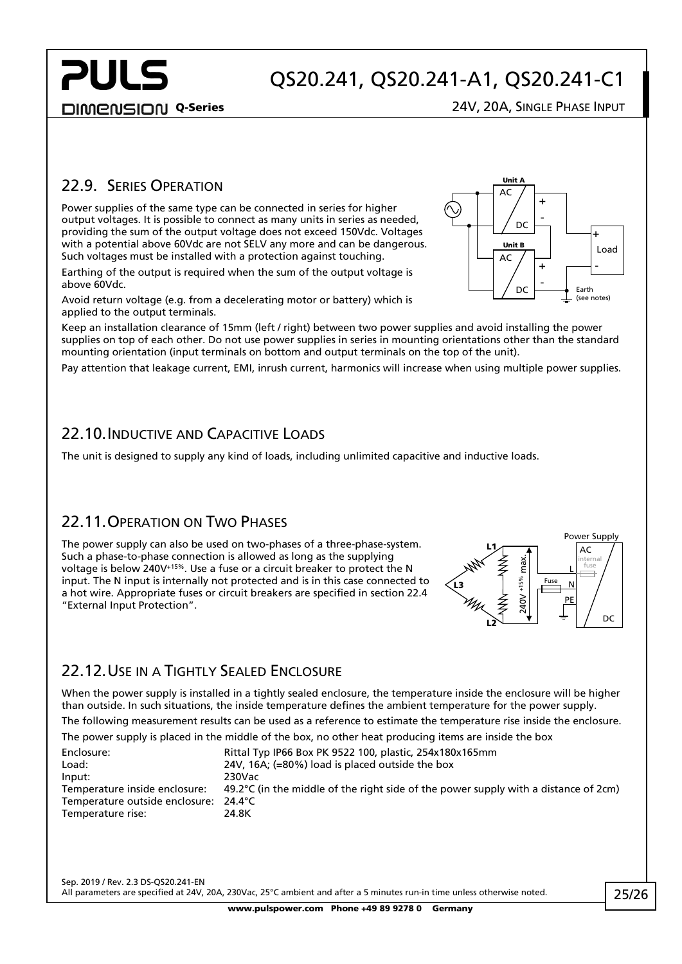**PULS** 

#### DIMENSION Q-Series 24V, 20A, SINGLE PHASE INPUT

**Unit** AC

DC

-

+

+ -

Load +

-

Earth (see notes)

DC

Unit B  $AC$ 

#### <span id="page-24-0"></span>22.9. SERIES OPERATION

Power supplies of the same type can be connected in series for higher output voltages. It is possible to connect as many units in series as needed, providing the sum of the output voltage does not exceed 150Vdc. Voltages with a potential above 60Vdc are not SELV any more and can be dangerous. Such voltages must be installed with a protection against touching.

Earthing of the output is required when the sum of the output voltage is above 60Vdc.

Avoid return voltage (e.g. from a decelerating motor or battery) which is applied to the output terminals.

Keep an installation clearance of 15mm (left / right) between two power supplies and avoid installing the power supplies on top of each other. Do not use power supplies in series in mounting orientations other than the standard mounting orientation (input terminals on bottom and output terminals on the top of the unit).

<span id="page-24-1"></span>Pay attention that leakage current, EMI, inrush current, harmonics will increase when using multiple power supplies.

#### 22.10.INDUCTIVE AND CAPACITIVE LOADS

<span id="page-24-2"></span>The unit is designed to supply any kind of loads, including unlimited capacitive and inductive loads.

#### 22.11. OPERATION ON TWO PHASES

The power supply can also be used on two-phases of a three-phase-system. Such a phase-to-phase connection is allowed as long as the supplying voltage is below 240V+15%. Use a fuse or a circuit breaker to protect the N input. The N input is internally not protected and is in this case connected to a hot wire. Appropriate fuses or circuit breakers are specified in sectio[n 22.4](#page-21-2) "External Input Protection".



#### <span id="page-24-3"></span>22.12. USE IN A TIGHTLY SEALED ENCLOSURE

When the power supply is installed in a tightly sealed enclosure, the temperature inside the enclosure will be higher than outside. In such situations, the inside temperature defines the ambient temperature for the power supply. The following measurement results can be used as a reference to estimate the temperature rise inside the enclosure.

The power supply is placed in the middle of the box, no other heat producing items are inside the box

| The potter supply is placed in the middle of the boly no other heat producing items are miside the bolt |
|---------------------------------------------------------------------------------------------------------|
| Rittal Typ IP66 Box PK 9522 100, plastic, 254x180x165mm                                                 |
| 24V, 16A; $(=80\%)$ load is placed outside the box                                                      |
| 230Vac                                                                                                  |
| 49.2 $^{\circ}$ C (in the middle of the right side of the power supply with a distance of 2cm)          |
| Temperature outside enclosure: 24.4°C                                                                   |
| 24.8K                                                                                                   |
|                                                                                                         |